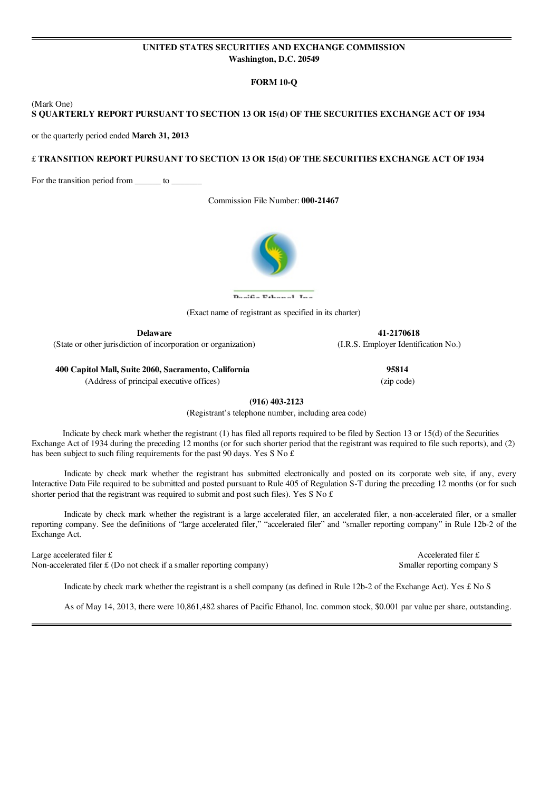## UNITED STATES SECURITIES AND EXCHANGE COMMISSION Washington, D.C. 20549

## FORM 10-Q

(Mark One)

# S QUARTERLY REPORT PURSUANT TO SECTION 13 OR 15(d) OF THE SECURITIES EXCHANGE ACT OF 1934

or the quarterly period ended March 31, 2013

## £ TRANSITION REPORT PURSUANT TO SECTION 13 OR 15(d) OF THE SECURITIES EXCHANGE ACT OF 1934

For the transition period from \_\_\_\_\_\_ to \_\_\_\_\_\_\_

Commission File Number: 000-21467



Pacific Ethanol, Inc. (Exact name of registrant as specified in its charter)

Delaware

(State or other jurisdiction of incorporation or organization)

400 Capitol Mall, Suite 2060, Sacramento, California

(Address of principal executive offices)

(916) 403-2123

(Registrant's telephone number, including area code)

Indicate by check mark whether the registrant (1) has filed all reports required to be filed by Section 13 or 15(d) of the Securities Exchange Act of 1934 during the preceding 12 months (or for such shorter period that the registrant was required to file such reports), and (2) has been subject to such filing requirements for the past 90 days. Yes S No £

Indicate by check mark whether the registrant has submitted electronically and posted on its corporate web site, if any, every Interactive Data File required to be submitted and posted pursuant to Rule 405 of Regulation S-T during the preceding 12 months (or for such shorter period that the registrant was required to submit and post such files). Yes S No £

Indicate by check mark whether the registrant is a large accelerated filer, an accelerated filer, a non-accelerated filer, or a smaller reporting company. See the definitions of "large accelerated filer," "accelerated filer" and "smaller reporting company" in Rule 12b-2 of the Exchange Act.

Large accelerated filer  $\pounds$  Accelerated filer  $\pounds$  Accelerated filer  $\pounds$ Non-accelerated filer £ (Do not check if a smaller reporting company) Smaller reporting company S

Indicate by check mark whether the registrant is a shell company (as defined in Rule 12b-2 of the Exchange Act). Yes  $\pounds$  No S

As of May 14, 2013, there were 10,861,482 shares of Pacific Ethanol, Inc. common stock, \$0.001 par value per share, outstanding.

41-2170618 (I.R.S. Employer Identification No.)

95814

(zip code)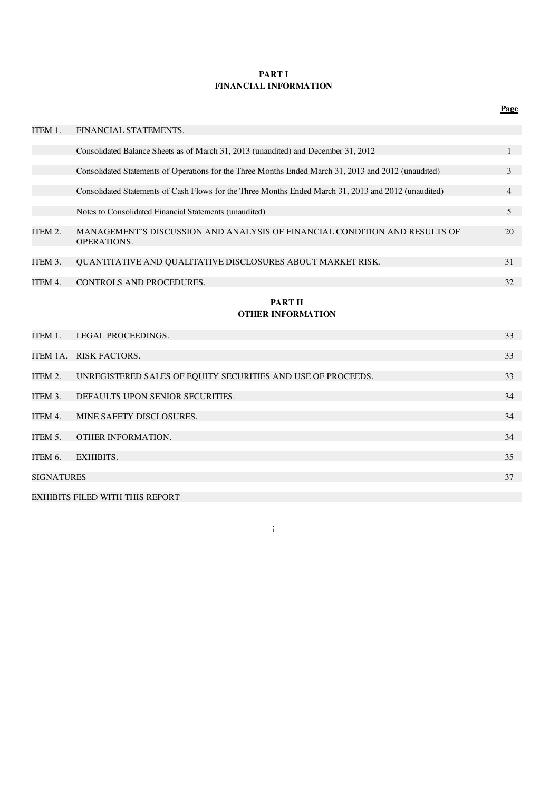# PART I FINANCIAL INFORMATION

|                   |                                                                                                      | Page           |
|-------------------|------------------------------------------------------------------------------------------------------|----------------|
| ITEM 1.           | FINANCIAL STATEMENTS.                                                                                |                |
|                   | Consolidated Balance Sheets as of March 31, 2013 (unaudited) and December 31, 2012                   | $\mathbf{1}$   |
|                   | Consolidated Statements of Operations for the Three Months Ended March 31, 2013 and 2012 (unaudited) | 3              |
|                   | Consolidated Statements of Cash Flows for the Three Months Ended March 31, 2013 and 2012 (unaudited) | $\overline{4}$ |
|                   | Notes to Consolidated Financial Statements (unaudited)                                               | 5              |
| ITEM 2.           | MANAGEMENT'S DISCUSSION AND ANALYSIS OF FINANCIAL CONDITION AND RESULTS OF<br>OPERATIONS.            | 20             |
| ITEM 3.           | QUANTITATIVE AND QUALITATIVE DISCLOSURES ABOUT MARKET RISK.                                          | 31             |
| ITEM 4.           | CONTROLS AND PROCEDURES.                                                                             | 32             |
|                   | <b>PART II</b><br><b>OTHER INFORMATION</b>                                                           |                |
| ITEM 1.           | LEGAL PROCEEDINGS.                                                                                   | 33             |
| ITEM 1A.          | <b>RISK FACTORS.</b>                                                                                 | 33             |
| ITEM 2.           | UNREGISTERED SALES OF EQUITY SECURITIES AND USE OF PROCEEDS.                                         | 33             |
| ITEM 3.           | DEFAULTS UPON SENIOR SECURITIES.                                                                     | 34             |
| ITEM 4.           | MINE SAFETY DISCLOSURES.                                                                             | 34             |
| ITEM 5.           | OTHER INFORMATION.                                                                                   | 34             |
| ITEM 6.           | <b>EXHIBITS.</b>                                                                                     | 35             |
| <b>SIGNATURES</b> |                                                                                                      | 37             |
|                   | <b>EXHIBITS FILED WITH THIS REPORT</b>                                                               |                |

i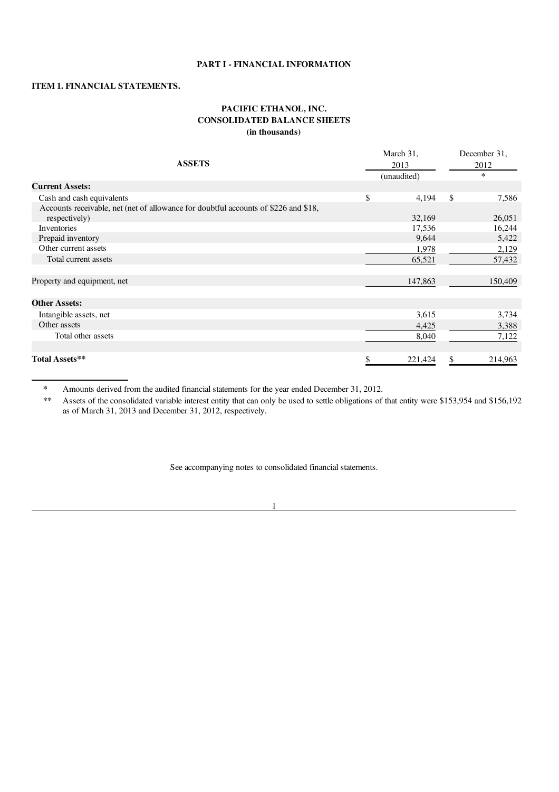## PART I - FINANCIAL INFORMATION

## ITEM 1. FINANCIAL STATEMENTS.

# PACIFIC ETHANOL, INC. CONSOLIDATED BALANCE SHEETS (in thousands)

|                                                                                     |      | March 31,   |      | December 31, |
|-------------------------------------------------------------------------------------|------|-------------|------|--------------|
| <b>ASSETS</b>                                                                       | 2013 |             | 2012 |              |
|                                                                                     |      | (unaudited) |      | *            |
| <b>Current Assets:</b>                                                              |      |             |      |              |
| Cash and cash equivalents                                                           | \$   | 4,194       | \$   | 7,586        |
| Accounts receivable, net (net of allowance for doubtful accounts of \$226 and \$18, |      |             |      |              |
| respectively)                                                                       |      | 32,169      |      | 26,051       |
| Inventories                                                                         |      | 17,536      |      | 16,244       |
| Prepaid inventory                                                                   |      | 9,644       |      | 5,422        |
| Other current assets                                                                |      | 1,978       |      | 2,129        |
| Total current assets                                                                |      | 65,521      |      | 57,432       |
|                                                                                     |      |             |      |              |
| Property and equipment, net                                                         |      | 147,863     |      | 150,409      |
|                                                                                     |      |             |      |              |
| <b>Other Assets:</b>                                                                |      |             |      |              |
| Intangible assets, net                                                              |      | 3,615       |      | 3,734        |
| Other assets                                                                        |      | 4,425       |      | 3,388        |
| Total other assets                                                                  |      | 8,040       |      | 7,122        |
|                                                                                     |      |             |      |              |
| Total Assets**                                                                      |      | 221,424     |      | 214,963      |

\* Amounts derived from the audited financial statements for the year ended December 31, 2012.<br>\*\* Assets of the consolidated variable interest entity that can only be used to settle obligations of

Assets of the consolidated variable interest entity that can only be used to settle obligations of that entity were \$153,954 and \$156,192 as of March 31, 2013 and December 31, 2012, respectively.

See accompanying notes to consolidated financial statements.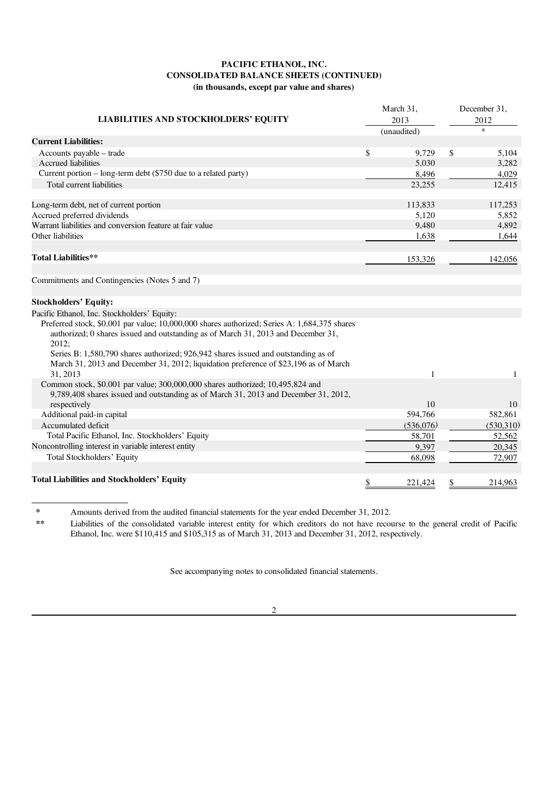# PACIFIC ETHANOL, INC. CONSOLIDATED BALANCE SHEETS (CONTINUED) (in thousands, except par value and shares)

|                                                                                                                                                                                            |             | March 31, |      | December 31, |  |
|--------------------------------------------------------------------------------------------------------------------------------------------------------------------------------------------|-------------|-----------|------|--------------|--|
| <b>LIABILITIES AND STOCKHOLDERS' EQUITY</b>                                                                                                                                                |             | 2013      | 2012 |              |  |
|                                                                                                                                                                                            | (unaudited) |           |      | $\ast$       |  |
| <b>Current Liabilities:</b>                                                                                                                                                                |             |           |      |              |  |
| Accounts payable – trade                                                                                                                                                                   | \$          | 9,729     | \$   | 5,104        |  |
| <b>Accrued liabilities</b>                                                                                                                                                                 |             | 5,030     |      | 3,282        |  |
| Current portion - long-term debt (\$750 due to a related party)                                                                                                                            |             | 8,496     |      | 4,029        |  |
| Total current liabilities                                                                                                                                                                  |             | 23,255    |      | 12,415       |  |
| Long-term debt, net of current portion                                                                                                                                                     |             | 113,833   |      | 117,253      |  |
| Accrued preferred dividends                                                                                                                                                                |             | 5,120     |      | 5,852        |  |
| Warrant liabilities and conversion feature at fair value                                                                                                                                   |             | 9,480     |      | 4,892        |  |
| Other liabilities                                                                                                                                                                          |             | 1,638     |      | 1,644        |  |
| <b>Total Liabilities**</b>                                                                                                                                                                 |             | 153,326   |      | 142,056      |  |
| Commitments and Contingencies (Notes 5 and 7)                                                                                                                                              |             |           |      |              |  |
| <b>Stockholders' Equity:</b>                                                                                                                                                               |             |           |      |              |  |
| Pacific Ethanol, Inc. Stockholders' Equity:                                                                                                                                                |             |           |      |              |  |
| Preferred stock, \$0.001 par value; 10,000,000 shares authorized; Series A: 1,684,375 shares<br>authorized; 0 shares issued and outstanding as of March 31, 2013 and December 31,<br>2012; |             |           |      |              |  |
| Series B: 1,580,790 shares authorized; 926,942 shares issued and outstanding as of<br>March 31, 2013 and December 31, 2012; liquidation preference of \$23,196 as of March                 |             |           |      |              |  |
| 31, 2013                                                                                                                                                                                   |             | 1         |      | 1            |  |
| Common stock, \$0.001 par value; 300,000,000 shares authorized; 10,495,824 and<br>9,789,408 shares issued and outstanding as of March 31, 2013 and December 31, 2012,                      |             |           |      |              |  |
| respectively                                                                                                                                                                               |             | 10        |      | 10           |  |
| Additional paid-in capital                                                                                                                                                                 |             | 594,766   |      | 582,861      |  |
| Accumulated deficit                                                                                                                                                                        |             | (536,076) |      | (530, 310)   |  |
| Total Pacific Ethanol, Inc. Stockholders' Equity                                                                                                                                           |             | 58,701    |      | 52,562       |  |
| Noncontrolling interest in variable interest entity                                                                                                                                        |             | 9,397     |      | 20,345       |  |
| Total Stockholders' Equity                                                                                                                                                                 |             | 68,098    |      | 72,907       |  |
| <b>Total Liabilities and Stockholders' Equity</b>                                                                                                                                          | \$          | 221,424   |      | 214,963      |  |

\* Amounts derived from the audited financial statements for the year ended December 31, 2012.

\*\* Liabilities of the consolidated variable interest entity for which creditors do not have recourse to the general credit of Pacific Ethanol, Inc. were \$110,415 and \$105,315 as of March 31, 2013 and December 31, 2012, respectively.

See accompanying notes to consolidated financial statements.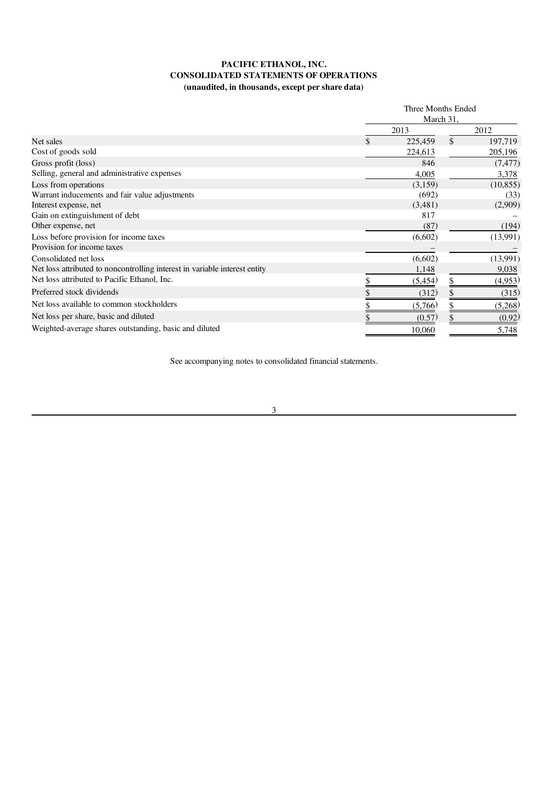# PACIFIC ETHANOL, INC. CONSOLIDATED STATEMENTS OF OPERATIONS (unaudited, in thousands, except per share data)

|                                                                            | Three Months Ended<br>March 31, |    |           |  |  |
|----------------------------------------------------------------------------|---------------------------------|----|-----------|--|--|
|                                                                            | 2013                            |    | 2012      |  |  |
| Net sales                                                                  | 225,459                         | \$ | 197,719   |  |  |
| Cost of goods sold                                                         | 224,613                         |    | 205,196   |  |  |
| Gross profit (loss)                                                        | 846                             |    | (7, 477)  |  |  |
| Selling, general and administrative expenses                               | 4,005                           |    | 3,378     |  |  |
| Loss from operations                                                       | (3,159)                         |    | (10, 855) |  |  |
| Warrant inducements and fair value adjustments                             | (692)                           |    | (33)      |  |  |
| Interest expense, net                                                      | (3,481)                         |    | (2,909)   |  |  |
| Gain on extinguishment of debt                                             | 817                             |    |           |  |  |
| Other expense, net                                                         | (87)                            |    | (194)     |  |  |
| Loss before provision for income taxes                                     | (6,602)                         |    | (13,991)  |  |  |
| Provision for income taxes                                                 |                                 |    |           |  |  |
| Consolidated net loss                                                      | (6,602)                         |    | (13,991)  |  |  |
| Net loss attributed to noncontrolling interest in variable interest entity | 1,148                           |    | 9,038     |  |  |
| Net loss attributed to Pacific Ethanol, Inc.                               | (5, 454)                        |    | (4,953)   |  |  |
| Preferred stock dividends                                                  | (312)                           |    | (315)     |  |  |
| Net loss available to common stockholders                                  | (5,766)                         |    | (5,268)   |  |  |
| Net loss per share, basic and diluted                                      | (0.57)                          |    | (0.92)    |  |  |
| Weighted-average shares outstanding, basic and diluted                     | 10,060                          |    | 5,748     |  |  |

See accompanying notes to consolidated financial statements.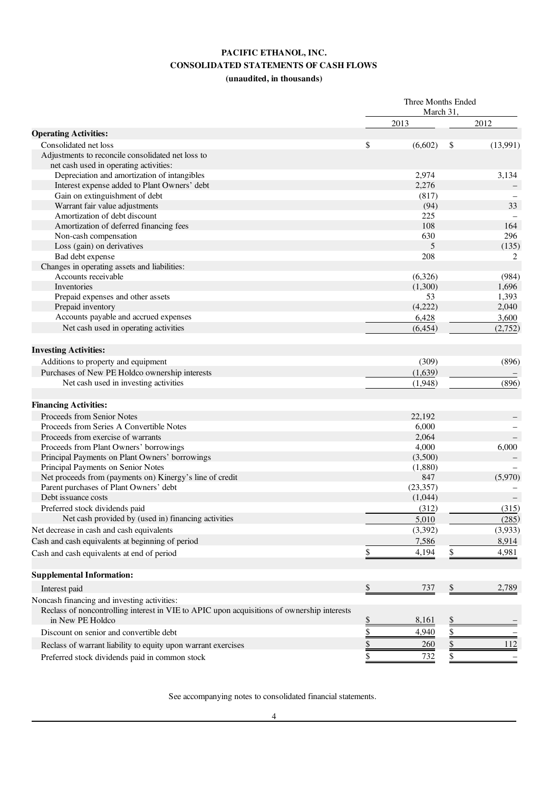# PACIFIC ETHANOL, INC. CONSOLIDATED STATEMENTS OF CASH FLOWS (unaudited, in thousands)

|                                                                                                                | Three Months Ended<br>March 31, |               |          |
|----------------------------------------------------------------------------------------------------------------|---------------------------------|---------------|----------|
|                                                                                                                | 2013                            |               | 2012     |
| <b>Operating Activities:</b>                                                                                   |                                 |               |          |
| Consolidated net loss                                                                                          | \$<br>(6,602)                   | \$            | (13,991) |
| Adjustments to reconcile consolidated net loss to                                                              |                                 |               |          |
| net cash used in operating activities:                                                                         |                                 |               |          |
| Depreciation and amortization of intangibles                                                                   | 2,974                           |               | 3,134    |
| Interest expense added to Plant Owners' debt                                                                   | 2,276                           |               |          |
| Gain on extinguishment of debt                                                                                 | (817)                           |               |          |
| Warrant fair value adjustments                                                                                 | (94)                            |               | 33       |
| Amortization of debt discount                                                                                  | 225                             |               |          |
| Amortization of deferred financing fees                                                                        | 108                             |               | 164      |
| Non-cash compensation                                                                                          | 630                             |               | 296      |
| Loss (gain) on derivatives                                                                                     | 5                               |               | (135)    |
| Bad debt expense                                                                                               | 208                             |               | 2        |
| Changes in operating assets and liabilities:                                                                   |                                 |               |          |
| Accounts receivable                                                                                            | (6,326)                         |               | (984)    |
| Inventories                                                                                                    | (1,300)                         |               | 1,696    |
| Prepaid expenses and other assets                                                                              | 53                              |               | 1,393    |
| Prepaid inventory                                                                                              | (4,222)                         |               | 2,040    |
| Accounts payable and accrued expenses                                                                          | 6,428                           |               | 3,600    |
| Net cash used in operating activities                                                                          | (6, 454)                        |               | (2,752)  |
| <b>Investing Activities:</b>                                                                                   |                                 |               |          |
| Additions to property and equipment                                                                            | (309)                           |               | (896)    |
| Purchases of New PE Holdco ownership interests                                                                 | (1,639)                         |               |          |
| Net cash used in investing activities                                                                          | (1,948)                         |               | (896)    |
| <b>Financing Activities:</b>                                                                                   |                                 |               |          |
| Proceeds from Senior Notes                                                                                     | 22,192                          |               |          |
| Proceeds from Series A Convertible Notes                                                                       | 6,000                           |               |          |
| Proceeds from exercise of warrants                                                                             | 2,064                           |               |          |
| Proceeds from Plant Owners' borrowings                                                                         | 4,000                           |               | 6,000    |
| Principal Payments on Plant Owners' borrowings                                                                 | (3,500)                         |               |          |
| Principal Payments on Senior Notes                                                                             | (1,880)                         |               |          |
| Net proceeds from (payments on) Kinergy's line of credit                                                       | 847                             |               | (5,970)  |
| Parent purchases of Plant Owners' debt                                                                         | (23, 357)                       |               |          |
| Debt issuance costs                                                                                            | (1,044)                         |               |          |
| Preferred stock dividends paid                                                                                 | (312)                           |               | (315)    |
| Net cash provided by (used in) financing activities                                                            | 5,010                           |               | (285)    |
| Net decrease in cash and cash equivalents                                                                      | (3,392)                         |               | (3,933)  |
| Cash and cash equivalents at beginning of period                                                               |                                 |               | 8,914    |
|                                                                                                                | 7,586                           |               |          |
| Cash and cash equivalents at end of period                                                                     | \$<br>4,194                     | \$            | 4,981    |
| <b>Supplemental Information:</b>                                                                               |                                 |               |          |
| Interest paid                                                                                                  | \$<br>737                       | \$            | 2,789    |
| Noncash financing and investing activities:                                                                    |                                 |               |          |
| Reclass of noncontrolling interest in VIE to APIC upon acquisitions of ownership interests<br>in New PE Holdco | \$<br>8,161                     | $\frac{1}{2}$ |          |
|                                                                                                                |                                 |               |          |
| Discount on senior and convertible debt                                                                        | \$<br>4,940                     | \$            |          |
| Reclass of warrant liability to equity upon warrant exercises                                                  | \$<br>260                       | $\frac{1}{2}$ | 112      |
| Preferred stock dividends paid in common stock                                                                 | \$<br>732                       | \$            |          |

See accompanying notes to consolidated financial statements.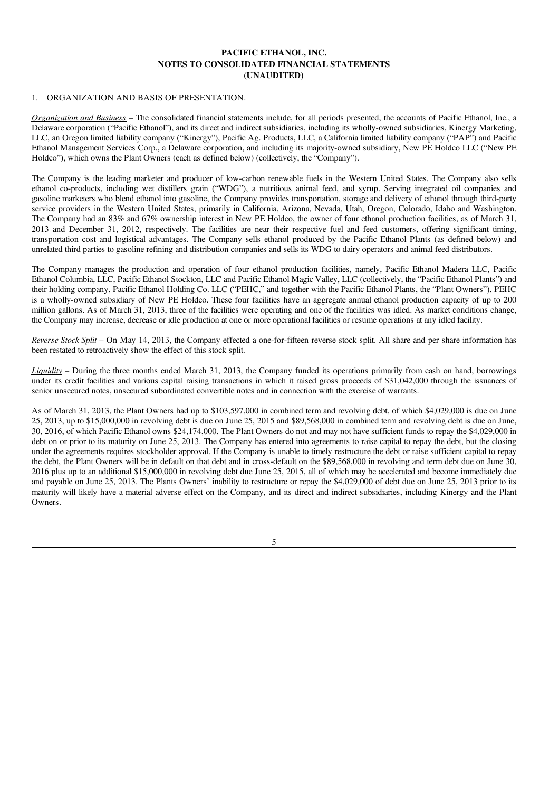## PACIFIC ETHANOL, INC. NOTES TO CONSOLIDATED FINANCIAL STATEMENTS (UNAUDITED)

## 1. ORGANIZATION AND BASIS OF PRESENTATION.

*Organization and Business* – The consolidated financial statements include, for all periods presented, the accounts of Pacific Ethanol, Inc., a Delaware corporation ("Pacific Ethanol"), and its direct and indirect subsidiaries, including its wholly-owned subsidiaries, Kinergy Marketing, LLC, an Oregon limited liability company ("Kinergy"), Pacific Ag. Products, LLC, a California limited liability company ("PAP") and Pacific Ethanol Management Services Corp., a Delaware corporation, and including its majority-owned subsidiary, New PE Holdco LLC ("New PE Holdco"), which owns the Plant Owners (each as defined below) (collectively, the "Company").

The Company is the leading marketer and producer of low-carbon renewable fuels in the Western United States. The Company also sells ethanol co-products, including wet distillers grain ("WDG"), a nutritious animal feed, and syrup. Serving integrated oil companies and gasoline marketers who blend ethanol into gasoline, the Company provides transportation, storage and delivery of ethanol through third-party service providers in the Western United States, primarily in California, Arizona, Nevada, Utah, Oregon, Colorado, Idaho and Washington. The Company had an 83% and 67% ownership interest in New PE Holdco, the owner of four ethanol production facilities, as of March 31, 2013 and December 31, 2012, respectively. The facilities are near their respective fuel and feed customers, offering significant timing, transportation cost and logistical advantages. The Company sells ethanol produced by the Pacific Ethanol Plants (as defined below) and unrelated third parties to gasoline refining and distribution companies and sells its WDG to dairy operators and animal feed distributors.

The Company manages the production and operation of four ethanol production facilities, namely, Pacific Ethanol Madera LLC, Pacific Ethanol Columbia, LLC, Pacific Ethanol Stockton, LLC and Pacific Ethanol Magic Valley, LLC (collectively, the "Pacific Ethanol Plants") and their holding company, Pacific Ethanol Holding Co. LLC ("PEHC," and together with the Pacific Ethanol Plants, the "Plant Owners"). PEHC is a wholly-owned subsidiary of New PE Holdco. These four facilities have an aggregate annual ethanol production capacity of up to 200 million gallons. As of March 31, 2013, three of the facilities were operating and one of the facilities was idled. As market conditions change, the Company may increase, decrease or idle production at one or more operational facilities or resume operations at any idled facility.

*Reverse Stock Split* – On May 14, 2013, the Company effected a one-for-fifteen reverse stock split. All share and per share information has been restated to retroactively show the effect of this stock split.

*Liquidity* – During the three months ended March 31, 2013, the Company funded its operations primarily from cash on hand, borrowings under its credit facilities and various capital raising transactions in which it raised gross proceeds of \$31,042,000 through the issuances of senior unsecured notes, unsecured subordinated convertible notes and in connection with the exercise of warrants.

As of March 31, 2013, the Plant Owners had up to \$103,597,000 in combined term and revolving debt, of which \$4,029,000 is due on June 25, 2013, up to \$15,000,000 in revolving debt is due on June 25, 2015 and \$89,568,000 in combined term and revolving debt is due on June, 30, 2016, of which Pacific Ethanol owns \$24,174,000. The Plant Owners do not and may not have sufficient funds to repay the \$4,029,000 in debt on or prior to its maturity on June 25, 2013. The Company has entered into agreements to raise capital to repay the debt, but the closing under the agreements requires stockholder approval. If the Company is unable to timely restructure the debt or raise sufficient capital to repay the debt, the Plant Owners will be in default on that debt and in cross-default on the \$89,568,000 in revolving and term debt due on June 30, 2016 plus up to an additional \$15,000,000 in revolving debt due June 25, 2015, all of which may be accelerated and become immediately due and payable on June 25, 2013. The Plants Owners' inability to restructure or repay the \$4,029,000 of debt due on June 25, 2013 prior to its maturity will likely have a material adverse effect on the Company, and its direct and indirect subsidiaries, including Kinergy and the Plant Owners.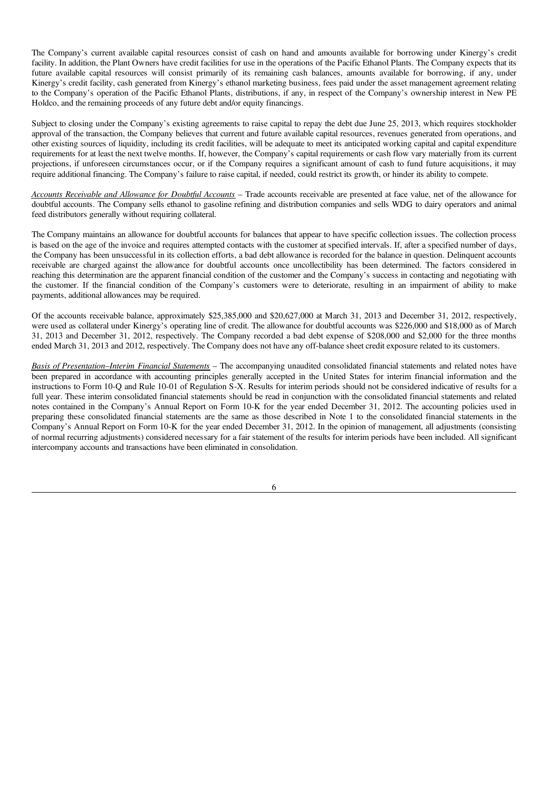The Company's current available capital resources consist of cash on hand and amounts available for borrowing under Kinergy's credit facility. In addition, the Plant Owners have credit facilities for use in the operations of the Pacific Ethanol Plants. The Company expects that its future available capital resources will consist primarily of its remaining cash balances, amounts available for borrowing, if any, under Kinergy's credit facility, cash generated from Kinergy's ethanol marketing business, fees paid under the asset management agreement relating to the Company's operation of the Pacific Ethanol Plants, distributions, if any, in respect of the Company's ownership interest in New PE Holdco, and the remaining proceeds of any future debt and/or equity financings.

Subject to closing under the Company's existing agreements to raise capital to repay the debt due June 25, 2013, which requires stockholder approval of the transaction, the Company believes that current and future available capital resources, revenues generated from operations, and other existing sources of liquidity, including its credit facilities, will be adequate to meet its anticipated working capital and capital expenditure requirements for at least the next twelve months. If, however, the Company's capital requirements or cash flow vary materially from its current projections, if unforeseen circumstances occur, or if the Company requires a significant amount of cash to fund future acquisitions, it may require additional financing. The Company's failure to raise capital, if needed, could restrict its growth, or hinder its ability to compete.

*Accounts Receivable and Allowance for Doubtful Accounts* – Trade accounts receivable are presented at face value, net of the allowance for doubtful accounts. The Company sells ethanol to gasoline refining and distribution companies and sells WDG to dairy operators and animal feed distributors generally without requiring collateral.

The Company maintains an allowance for doubtful accounts for balances that appear to have specific collection issues. The collection process is based on the age of the invoice and requires attempted contacts with the customer at specified intervals. If, after a specified number of days, the Company has been unsuccessful in its collection efforts, a bad debt allowance is recorded for the balance in question. Delinquent accounts receivable are charged against the allowance for doubtful accounts once uncollectibility has been determined. The factors considered in reaching this determination are the apparent financial condition of the customer and the Company's success in contacting and negotiating with the customer. If the financial condition of the Company's customers were to deteriorate, resulting in an impairment of ability to make payments, additional allowances may be required.

Of the accounts receivable balance, approximately \$25,385,000 and \$20,627,000 at March 31, 2013 and December 31, 2012, respectively, were used as collateral under Kinergy's operating line of credit. The allowance for doubtful accounts was \$226,000 and \$18,000 as of March 31, 2013 and December 31, 2012, respectively. The Company recorded a bad debt expense of \$208,000 and \$2,000 for the three months ended March 31, 2013 and 2012, respectively. The Company does not have any off-balance sheet credit exposure related to its customers.

*Basis of Presentation*–*Interim Financial Statements* – The accompanying unaudited consolidated financial statements and related notes have been prepared in accordance with accounting principles generally accepted in the United States for interim financial information and the instructions to Form 10-Q and Rule 10-01 of Regulation S-X. Results for interim periods should not be considered indicative of results for a full year. These interim consolidated financial statements should be read in conjunction with the consolidated financial statements and related notes contained in the Company's Annual Report on Form 10-K for the year ended December 31, 2012. The accounting policies used in preparing these consolidated financial statements are the same as those described in Note 1 to the consolidated financial statements in the Company's Annual Report on Form 10-K for the year ended December 31, 2012. In the opinion of management, all adjustments (consisting of normal recurring adjustments) considered necessary for a fair statement of the results for interim periods have been included. All significant intercompany accounts and transactions have been eliminated in consolidation.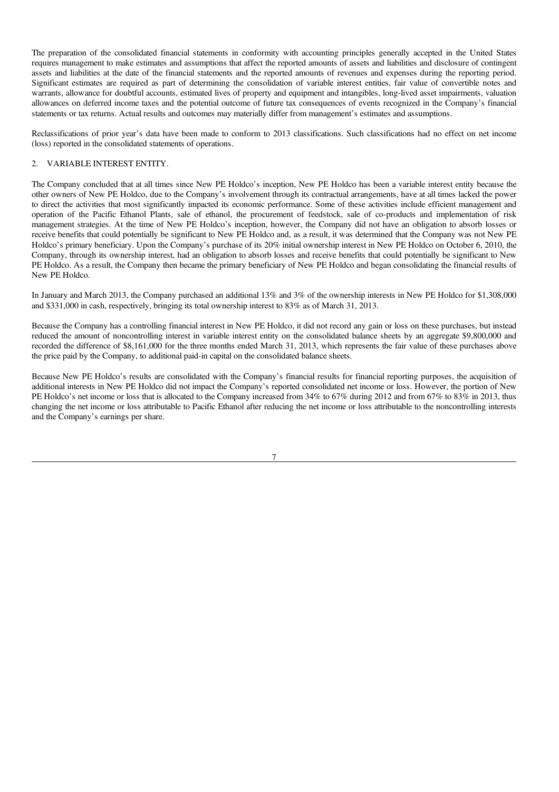The preparation of the consolidated financial statements in conformity with accounting principles generally accepted in the United States requires management to make estimates and assumptions that affect the reported amounts of assets and liabilities and disclosure of contingent assets and liabilities at the date of the financial statements and the reported amounts of revenues and expenses during the reporting period. Significant estimates are required as part of determining the consolidation of variable interest entities, fair value of convertible notes and warrants, allowance for doubtful accounts, estimated lives of property and equipment and intangibles, long-lived asset impairments, valuation allowances on deferred income taxes and the potential outcome of future tax consequences of events recognized in the Company's financial statements or tax returns. Actual results and outcomes may materially differ from management's estimates and assumptions.

Reclassifications of prior year's data have been made to conform to 2013 classifications. Such classifications had no effect on net income (loss) reported in the consolidated statements of operations.

## 2. VARIABLE INTEREST ENTITY.

The Company concluded that at all times since New PE Holdco's inception, New PE Holdco has been a variable interest entity because the other owners of New PE Holdco, due to the Company's involvement through its contractual arrangements, have at all times lacked the power to direct the activities that most significantly impacted its economic performance. Some of these activities include efficient management and operation of the Pacific Ethanol Plants, sale of ethanol, the procurement of feedstock, sale of co-products and implementation of risk management strategies. At the time of New PE Holdco's inception, however, the Company did not have an obligation to absorb losses or receive benefits that could potentially be significant to New PE Holdco and, as a result, it was determined that the Company was not New PE Holdco's primary beneficiary. Upon the Company's purchase of its 20% initial ownership interest in New PE Holdco on October 6, 2010, the Company, through its ownership interest, had an obligation to absorb losses and receive benefits that could potentially be significant to New PE Holdco. As a result, the Company then became the primary beneficiary of New PE Holdco and began consolidating the financial results of New PE Holdco.

In January and March 2013, the Company purchased an additional 13% and 3% of the ownership interests in New PE Holdco for \$1,308,000 and \$331,000 in cash, respectively, bringing its total ownership interest to 83% as of March 31, 2013.

Because the Company has a controlling financial interest in New PE Holdco, it did not record any gain or loss on these purchases, but instead reduced the amount of noncontrolling interest in variable interest entity on the consolidated balance sheets by an aggregate \$9,800,000 and recorded the difference of \$8,161,000 for the three months ended March 31, 2013, which represents the fair value of these purchases above the price paid by the Company, to additional paid-in capital on the consolidated balance sheets.

Because New PE Holdco's results are consolidated with the Company's financial results for financial reporting purposes, the acquisition of additional interests in New PE Holdco did not impact the Company's reported consolidated net income or loss. However, the portion of New PE Holdco's net income or loss that is allocated to the Company increased from 34% to 67% during 2012 and from 67% to 83% in 2013, thus changing the net income or loss attributable to Pacific Ethanol after reducing the net income or loss attributable to the noncontrolling interests and the Company's earnings per share.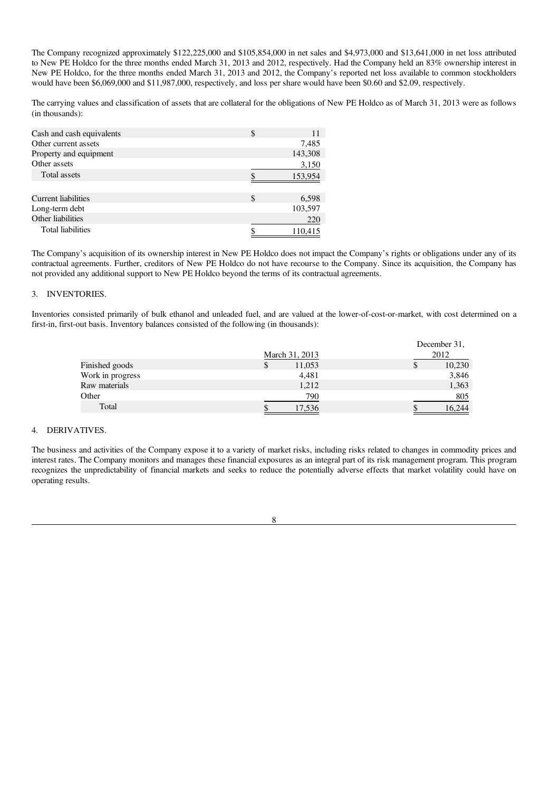The Company recognized approximately \$122,225,000 and \$105,854,000 in net sales and \$4,973,000 and \$13,641,000 in net loss attributed to New PE Holdco for the three months ended March 31, 2013 and 2012, respectively. Had the Company held an 83% ownership interest in New PE Holdco, for the three months ended March 31, 2013 and 2012, the Company's reported net loss available to common stockholders would have been \$6,069,000 and \$11,987,000, respectively, and loss per share would have been \$0.60 and \$2.09, respectively.

The carrying values and classification of assets that are collateral for the obligations of New PE Holdco as of March 31, 2013 were as follows (in thousands):

| Cash and cash equivalents | S  |         |
|---------------------------|----|---------|
| Other current assets      |    | 7,485   |
| Property and equipment    |    | 143,308 |
| Other assets              |    | 3,150   |
| Total assets              |    | 153,954 |
|                           |    |         |
| Current liabilities       | S. | 6,598   |
| Long-term debt            |    | 103,597 |
| Other liabilities         |    | 220     |
| <b>Total liabilities</b>  |    | 110,415 |
|                           |    |         |

The Company's acquisition of its ownership interest in New PE Holdco does not impact the Company's rights or obligations under any of its contractual agreements. Further, creditors of New PE Holdco do not have recourse to the Company. Since its acquisition, the Company has not provided any additional support to New PE Holdco beyond the terms of its contractual agreements.

## 3. INVENTORIES.

Inventories consisted primarily of bulk ethanol and unleaded fuel, and are valued at the lower-of-cost-or-market, with cost determined on a first-in, first-out basis. Inventory balances consisted of the following (in thousands):

|                  |                | December 31. |        |
|------------------|----------------|--------------|--------|
|                  | March 31, 2013 | 2012         |        |
| Finished goods   | 11,053         | S            | 10,230 |
| Work in progress | 4,481          |              | 3,846  |
| Raw materials    | 1,212          |              | 1,363  |
| Other            | 790            |              | 805    |
| Total            | 17,536         |              | 16.244 |

### 4. DERIVATIVES.

The business and activities of the Company expose it to a variety of market risks, including risks related to changes in commodity prices and interest rates. The Company monitors and manages these financial exposures as an integral part of its risk management program. This program recognizes the unpredictability of financial markets and seeks to reduce the potentially adverse effects that market volatility could have on operating results.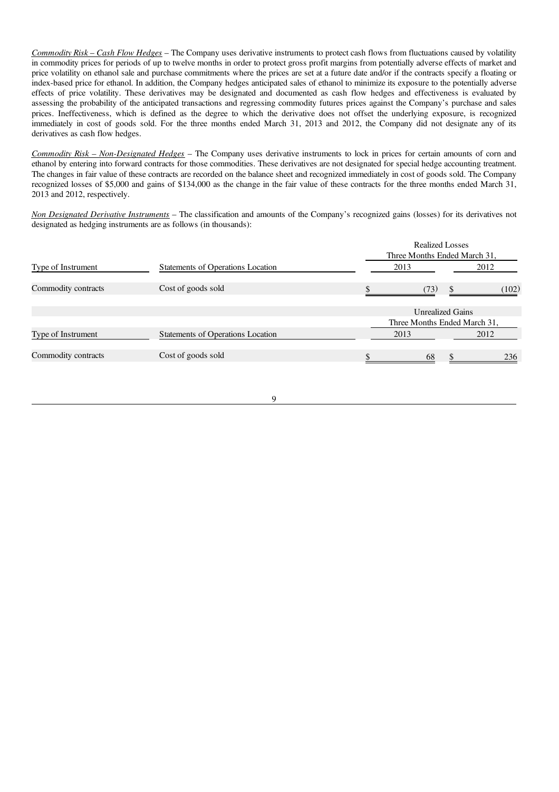*Commodity Risk* – *Cash Flow Hedges* – The Company uses derivative instruments to protect cash flows from fluctuations caused by volatility in commodity prices for periods of up to twelve months in order to protect gross profit margins from potentially adverse effects of market and price volatility on ethanol sale and purchase commitments where the prices are set at a future date and/or if the contracts specify a floating or index-based price for ethanol. In addition, the Company hedges anticipated sales of ethanol to minimize its exposure to the potentially adverse effects of price volatility. These derivatives may be designated and documented as cash flow hedges and effectiveness is evaluated by assessing the probability of the anticipated transactions and regressing commodity futures prices against the Company's purchase and sales prices. Ineffectiveness, which is defined as the degree to which the derivative does not offset the underlying exposure, is recognized immediately in cost of goods sold. For the three months ended March 31, 2013 and 2012, the Company did not designate any of its derivatives as cash flow hedges.

*Commodity Risk – Non-Designated Hedges* – The Company uses derivative instruments to lock in prices for certain amounts of corn and ethanol by entering into forward contracts for those commodities. These derivatives are not designated for special hedge accounting treatment. The changes in fair value of these contracts are recorded on the balance sheet and recognized immediately in cost of goods sold. The Company recognized losses of \$5,000 and gains of \$134,000 as the change in the fair value of these contracts for the three months ended March 31, 2013 and 2012, respectively.

*Non Designated Derivative Instruments* – The classification and amounts of the Company's recognized gains (losses) for its derivatives not designated as hedging instruments are as follows (in thousands):

|                     |                                   |                                                         | <b>Realized Losses</b><br>Three Months Ended March 31, |      |       |  |
|---------------------|-----------------------------------|---------------------------------------------------------|--------------------------------------------------------|------|-------|--|
| Type of Instrument  | Statements of Operations Location |                                                         | 2013                                                   | 2012 |       |  |
| Commodity contracts | Cost of goods sold                |                                                         | (73)                                                   |      | (102) |  |
|                     |                                   | <b>Unrealized Gains</b><br>Three Months Ended March 31, |                                                        |      |       |  |
| Type of Instrument  | Statements of Operations Location |                                                         | 2013                                                   |      | 2012  |  |
| Commodity contracts | Cost of goods sold                |                                                         | 68                                                     |      | 236   |  |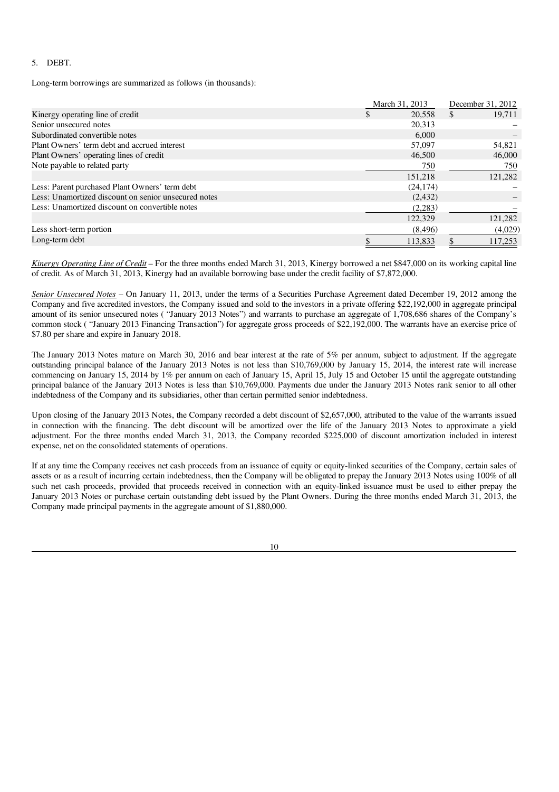# 5. DEBT.

Long-term borrowings are summarized as follows (in thousands):

|                                                      | March 31, 2013 |   | December 31, 2012 |
|------------------------------------------------------|----------------|---|-------------------|
| Kinergy operating line of credit                     | 20.558         | S | 19.711            |
| Senior unsecured notes                               | 20,313         |   |                   |
| Subordinated convertible notes                       | 6.000          |   |                   |
| Plant Owners' term debt and accrued interest         | 57,097         |   | 54,821            |
| Plant Owners' operating lines of credit              | 46,500         |   | 46,000            |
| Note payable to related party                        | 750            |   | 750               |
|                                                      | 151,218        |   | 121.282           |
| Less: Parent purchased Plant Owners' term debt       | (24, 174)      |   |                   |
| Less: Unamortized discount on senior unsecured notes | (2,432)        |   |                   |
| Less: Unamortized discount on convertible notes      | (2,283)        |   |                   |
|                                                      | 122,329        |   | 121,282           |
| Less short-term portion                              | (8, 496)       |   | (4,029)           |
| Long-term debt                                       | 113,833        |   | 117,253           |

*Kinergy Operating Line of Credit* – For the three months ended March 31, 2013, Kinergy borrowed a net \$847,000 on its working capital line of credit. As of March 31, 2013, Kinergy had an available borrowing base under the credit facility of \$7,872,000.

*Senior Unsecured Notes* – On January 11, 2013, under the terms of a Securities Purchase Agreement dated December 19, 2012 among the Company and five accredited investors, the Company issued and sold to the investors in a private offering \$22,192,000 in aggregate principal amount of its senior unsecured notes ( "January 2013 Notes") and warrants to purchase an aggregate of 1,708,686 shares of the Company's common stock ( "January 2013 Financing Transaction") for aggregate gross proceeds of \$22,192,000. The warrants have an exercise price of \$7.80 per share and expire in January 2018.

The January 2013 Notes mature on March 30, 2016 and bear interest at the rate of 5% per annum, subject to adjustment. If the aggregate outstanding principal balance of the January 2013 Notes is not less than \$10,769,000 by January 15, 2014, the interest rate will increase commencing on January 15, 2014 by 1% per annum on each of January 15, April 15, July 15 and October 15 until the aggregate outstanding principal balance of the January 2013 Notes is less than \$10,769,000. Payments due under the January 2013 Notes rank senior to all other indebtedness of the Company and its subsidiaries, other than certain permitted senior indebtedness.

Upon closing of the January 2013 Notes, the Company recorded a debt discount of \$2,657,000, attributed to the value of the warrants issued in connection with the financing. The debt discount will be amortized over the life of the January 2013 Notes to approximate a yield adjustment. For the three months ended March 31, 2013, the Company recorded \$225,000 of discount amortization included in interest expense, net on the consolidated statements of operations.

If at any time the Company receives net cash proceeds from an issuance of equity or equity-linked securities of the Company, certain sales of assets or as a result of incurring certain indebtedness, then the Company will be obligated to prepay the January 2013 Notes using 100% of all such net cash proceeds, provided that proceeds received in connection with an equity-linked issuance must be used to either prepay the January 2013 Notes or purchase certain outstanding debt issued by the Plant Owners. During the three months ended March 31, 2013, the Company made principal payments in the aggregate amount of \$1,880,000.

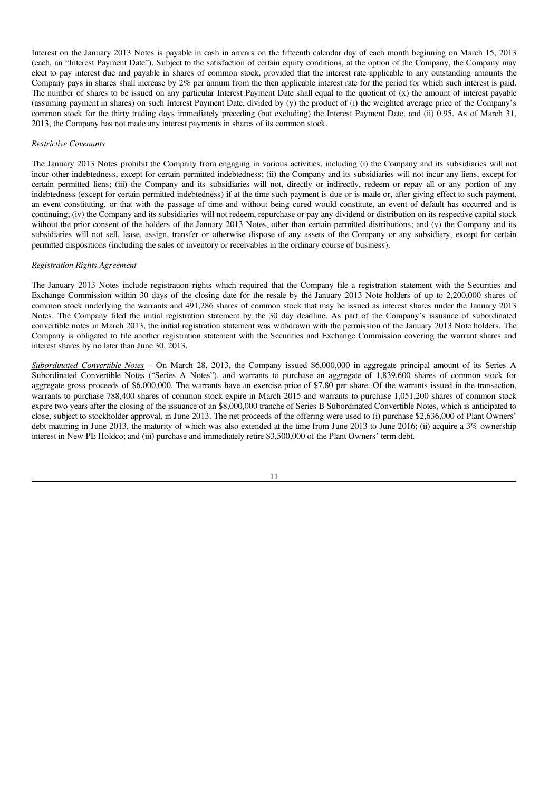Interest on the January 2013 Notes is payable in cash in arrears on the fifteenth calendar day of each month beginning on March 15, 2013 (each, an "Interest Payment Date"). Subject to the satisfaction of certain equity conditions, at the option of the Company, the Company may elect to pay interest due and payable in shares of common stock, provided that the interest rate applicable to any outstanding amounts the Company pays in shares shall increase by 2% per annum from the then applicable interest rate for the period for which such interest is paid. The number of shares to be issued on any particular Interest Payment Date shall equal to the quotient of  $(x)$  the amount of interest payable (assuming payment in shares) on such Interest Payment Date, divided by (y) the product of (i) the weighted average price of the Company's common stock for the thirty trading days immediately preceding (but excluding) the Interest Payment Date, and (ii) 0.95. As of March 31, 2013, the Company has not made any interest payments in shares of its common stock.

#### *Restrictive Covenants*

The January 2013 Notes prohibit the Company from engaging in various activities, including (i) the Company and its subsidiaries will not incur other indebtedness, except for certain permitted indebtedness; (ii) the Company and its subsidiaries will not incur any liens, except for certain permitted liens; (iii) the Company and its subsidiaries will not, directly or indirectly, redeem or repay all or any portion of any indebtedness (except for certain permitted indebtedness) if at the time such payment is due or is made or, after giving effect to such payment, an event constituting, or that with the passage of time and without being cured would constitute, an event of default has occurred and is continuing; (iv) the Company and its subsidiaries will not redeem, repurchase or pay any dividend or distribution on its respective capital stock without the prior consent of the holders of the January 2013 Notes, other than certain permitted distributions; and (v) the Company and its subsidiaries will not sell, lease, assign, transfer or otherwise dispose of any assets of the Company or any subsidiary, except for certain permitted dispositions (including the sales of inventory or receivables in the ordinary course of business).

#### *Registration Rights Agreement*

The January 2013 Notes include registration rights which required that the Company file a registration statement with the Securities and Exchange Commission within 30 days of the closing date for the resale by the January 2013 Note holders of up to 2,200,000 shares of common stock underlying the warrants and 491,286 shares of common stock that may be issued as interest shares under the January 2013 Notes. The Company filed the initial registration statement by the 30 day deadline. As part of the Company's issuance of subordinated convertible notes in March 2013, the initial registration statement was withdrawn with the permission of the January 2013 Note holders. The Company is obligated to file another registration statement with the Securities and Exchange Commission covering the warrant shares and interest shares by no later than June 30, 2013.

*Subordinated Convertible Notes* – On March 28, 2013, the Company issued \$6,000,000 in aggregate principal amount of its Series A Subordinated Convertible Notes ("Series A Notes"), and warrants to purchase an aggregate of 1,839,600 shares of common stock for aggregate gross proceeds of \$6,000,000. The warrants have an exercise price of \$7.80 per share. Of the warrants issued in the transaction, warrants to purchase 788,400 shares of common stock expire in March 2015 and warrants to purchase 1,051,200 shares of common stock expire two years after the closing of the issuance of an \$8,000,000 tranche of Series B Subordinated Convertible Notes, which is anticipated to close, subject to stockholder approval, in June 2013. The net proceeds of the offering were used to (i) purchase \$2,636,000 of Plant Owners' debt maturing in June 2013, the maturity of which was also extended at the time from June 2013 to June 2016; (ii) acquire a 3% ownership interest in New PE Holdco; and (iii) purchase and immediately retire \$3,500,000 of the Plant Owners' term debt.

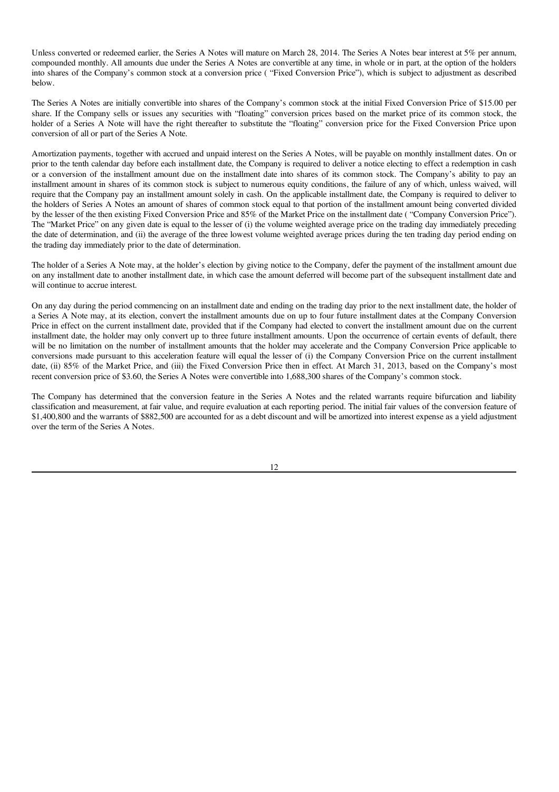Unless converted or redeemed earlier, the Series A Notes will mature on March 28, 2014. The Series A Notes bear interest at 5% per annum, compounded monthly. All amounts due under the Series A Notes are convertible at any time, in whole or in part, at the option of the holders into shares of the Company's common stock at a conversion price ( "Fixed Conversion Price"), which is subject to adjustment as described below.

The Series A Notes are initially convertible into shares of the Company's common stock at the initial Fixed Conversion Price of \$15.00 per share. If the Company sells or issues any securities with "floating" conversion prices based on the market price of its common stock, the holder of a Series A Note will have the right thereafter to substitute the "floating" conversion price for the Fixed Conversion Price upon conversion of all or part of the Series A Note.

Amortization payments, together with accrued and unpaid interest on the Series A Notes, will be payable on monthly installment dates. On or prior to the tenth calendar day before each installment date, the Company is required to deliver a notice electing to effect a redemption in cash or a conversion of the installment amount due on the installment date into shares of its common stock. The Company's ability to pay an installment amount in shares of its common stock is subject to numerous equity conditions, the failure of any of which, unless waived, will require that the Company pay an installment amount solely in cash. On the applicable installment date, the Company is required to deliver to the holders of Series A Notes an amount of shares of common stock equal to that portion of the installment amount being converted divided by the lesser of the then existing Fixed Conversion Price and 85% of the Market Price on the installment date ( "Company Conversion Price"). The "Market Price" on any given date is equal to the lesser of (i) the volume weighted average price on the trading day immediately preceding the date of determination, and (ii) the average of the three lowest volume weighted average prices during the ten trading day period ending on the trading day immediately prior to the date of determination.

The holder of a Series A Note may, at the holder's election by giving notice to the Company, defer the payment of the installment amount due on any installment date to another installment date, in which case the amount deferred will become part of the subsequent installment date and will continue to accrue interest.

On any day during the period commencing on an installment date and ending on the trading day prior to the next installment date, the holder of a Series A Note may, at its election, convert the installment amounts due on up to four future installment dates at the Company Conversion Price in effect on the current installment date, provided that if the Company had elected to convert the installment amount due on the current installment date, the holder may only convert up to three future installment amounts. Upon the occurrence of certain events of default, there will be no limitation on the number of installment amounts that the holder may accelerate and the Company Conversion Price applicable to conversions made pursuant to this acceleration feature will equal the lesser of (i) the Company Conversion Price on the current installment date, (ii) 85% of the Market Price, and (iii) the Fixed Conversion Price then in effect. At March 31, 2013, based on the Company's most recent conversion price of \$3.60, the Series A Notes were convertible into 1,688,300 shares of the Company's common stock.

The Company has determined that the conversion feature in the Series A Notes and the related warrants require bifurcation and liability classification and measurement, at fair value, and require evaluation at each reporting period. The initial fair values of the conversion feature of \$1,400,800 and the warrants of \$882,500 are accounted for as a debt discount and will be amortized into interest expense as a yield adjustment over the term of the Series A Notes.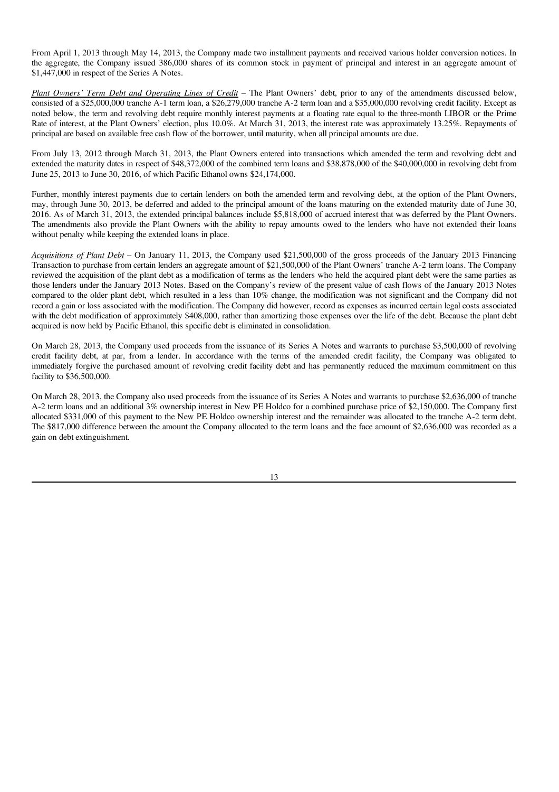From April 1, 2013 through May 14, 2013, the Company made two installment payments and received various holder conversion notices. In the aggregate, the Company issued 386,000 shares of its common stock in payment of principal and interest in an aggregate amount of \$1,447,000 in respect of the Series A Notes.

*Plant Owners' Term Debt and Operating Lines of Credit* – The Plant Owners' debt, prior to any of the amendments discussed below, consisted of a \$25,000,000 tranche A-1 term loan, a \$26,279,000 tranche A-2 term loan and a \$35,000,000 revolving credit facility. Except as noted below, the term and revolving debt require monthly interest payments at a floating rate equal to the three-month LIBOR or the Prime Rate of interest, at the Plant Owners' election, plus 10.0%. At March 31, 2013, the interest rate was approximately 13.25%. Repayments of principal are based on available free cash flow of the borrower, until maturity, when all principal amounts are due.

From July 13, 2012 through March 31, 2013, the Plant Owners entered into transactions which amended the term and revolving debt and extended the maturity dates in respect of \$48,372,000 of the combined term loans and \$38,878,000 of the \$40,000,000 in revolving debt from June 25, 2013 to June 30, 2016, of which Pacific Ethanol owns \$24,174,000.

Further, monthly interest payments due to certain lenders on both the amended term and revolving debt, at the option of the Plant Owners, may, through June 30, 2013, be deferred and added to the principal amount of the loans maturing on the extended maturity date of June 30, 2016. As of March 31, 2013, the extended principal balances include \$5,818,000 of accrued interest that was deferred by the Plant Owners. The amendments also provide the Plant Owners with the ability to repay amounts owed to the lenders who have not extended their loans without penalty while keeping the extended loans in place.

*Acquisitions of Plant Debt* – On January 11, 2013, the Company used \$21,500,000 of the gross proceeds of the January 2013 Financing Transaction to purchase from certain lenders an aggregate amount of \$21,500,000 of the Plant Owners' tranche A-2 term loans. The Company reviewed the acquisition of the plant debt as a modification of terms as the lenders who held the acquired plant debt were the same parties as those lenders under the January 2013 Notes. Based on the Company's review of the present value of cash flows of the January 2013 Notes compared to the older plant debt, which resulted in a less than 10% change, the modification was not significant and the Company did not record a gain or loss associated with the modification. The Company did however, record as expenses as incurred certain legal costs associated with the debt modification of approximately \$408,000, rather than amortizing those expenses over the life of the debt. Because the plant debt acquired is now held by Pacific Ethanol, this specific debt is eliminated in consolidation.

On March 28, 2013, the Company used proceeds from the issuance of its Series A Notes and warrants to purchase \$3,500,000 of revolving credit facility debt, at par, from a lender. In accordance with the terms of the amended credit facility, the Company was obligated to immediately forgive the purchased amount of revolving credit facility debt and has permanently reduced the maximum commitment on this facility to \$36,500,000.

On March 28, 2013, the Company also used proceeds from the issuance of its Series A Notes and warrants to purchase \$2,636,000 of tranche A-2 term loans and an additional 3% ownership interest in New PE Holdco for a combined purchase price of \$2,150,000. The Company first allocated \$331,000 of this payment to the New PE Holdco ownership interest and the remainder was allocated to the tranche A-2 term debt. The \$817,000 difference between the amount the Company allocated to the term loans and the face amount of \$2,636,000 was recorded as a gain on debt extinguishment.

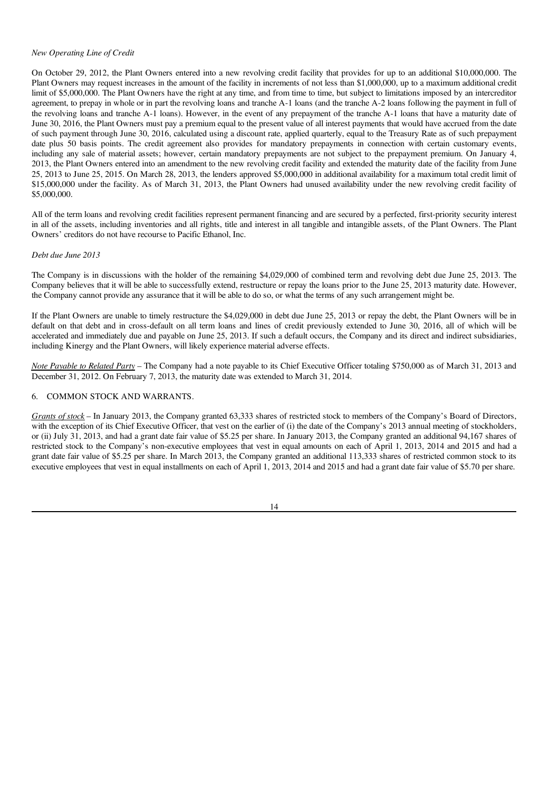#### *New Operating Line of Credit*

On October 29, 2012, the Plant Owners entered into a new revolving credit facility that provides for up to an additional \$10,000,000. The Plant Owners may request increases in the amount of the facility in increments of not less than \$1,000,000, up to a maximum additional credit limit of \$5,000,000. The Plant Owners have the right at any time, and from time to time, but subject to limitations imposed by an intercreditor agreement, to prepay in whole or in part the revolving loans and tranche A-1 loans (and the tranche A-2 loans following the payment in full of the revolving loans and tranche A-1 loans). However, in the event of any prepayment of the tranche A-1 loans that have a maturity date of June 30, 2016, the Plant Owners must pay a premium equal to the present value of all interest payments that would have accrued from the date of such payment through June 30, 2016, calculated using a discount rate, applied quarterly, equal to the Treasury Rate as of such prepayment date plus 50 basis points. The credit agreement also provides for mandatory prepayments in connection with certain customary events, including any sale of material assets; however, certain mandatory prepayments are not subject to the prepayment premium. On January 4, 2013, the Plant Owners entered into an amendment to the new revolving credit facility and extended the maturity date of the facility from June 25, 2013 to June 25, 2015. On March 28, 2013, the lenders approved \$5,000,000 in additional availability for a maximum total credit limit of \$15,000,000 under the facility. As of March 31, 2013, the Plant Owners had unused availability under the new revolving credit facility of \$5,000,000.

All of the term loans and revolving credit facilities represent permanent financing and are secured by a perfected, first-priority security interest in all of the assets, including inventories and all rights, title and interest in all tangible and intangible assets, of the Plant Owners. The Plant Owners' creditors do not have recourse to Pacific Ethanol, Inc.

#### *Debt due June 2013*

The Company is in discussions with the holder of the remaining \$4,029,000 of combined term and revolving debt due June 25, 2013. The Company believes that it will be able to successfully extend, restructure or repay the loans prior to the June 25, 2013 maturity date. However, the Company cannot provide any assurance that it will be able to do so, or what the terms of any such arrangement might be.

If the Plant Owners are unable to timely restructure the \$4,029,000 in debt due June 25, 2013 or repay the debt, the Plant Owners will be in default on that debt and in cross-default on all term loans and lines of credit previously extended to June 30, 2016, all of which will be accelerated and immediately due and payable on June 25, 2013. If such a default occurs, the Company and its direct and indirect subsidiaries, including Kinergy and the Plant Owners, will likely experience material adverse effects.

*Note Payable to Related Party* – The Company had a note payable to its Chief Executive Officer totaling \$750,000 as of March 31, 2013 and December 31, 2012. On February 7, 2013, the maturity date was extended to March 31, 2014.

## 6. COMMON STOCK AND WARRANTS.

*Grants of stock* – In January 2013, the Company granted 63,333 shares of restricted stock to members of the Company's Board of Directors, with the exception of its Chief Executive Officer, that vest on the earlier of (i) the date of the Company's 2013 annual meeting of stockholders, or (ii) July 31, 2013, and had a grant date fair value of \$5.25 per share. In January 2013, the Company granted an additional 94,167 shares of restricted stock to the Company's non-executive employees that vest in equal amounts on each of April 1, 2013, 2014 and 2015 and had a grant date fair value of \$5.25 per share. In March 2013, the Company granted an additional 113,333 shares of restricted common stock to its executive employees that vest in equal installments on each of April 1, 2013, 2014 and 2015 and had a grant date fair value of \$5.70 per share.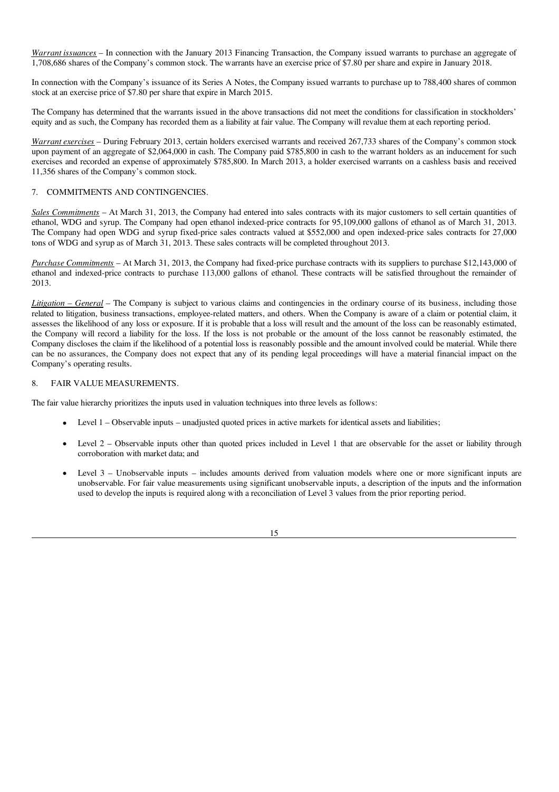*Warrant issuances* – In connection with the January 2013 Financing Transaction, the Company issued warrants to purchase an aggregate of 1,708,686 shares of the Company's common stock. The warrants have an exercise price of \$7.80 per share and expire in January 2018.

In connection with the Company's issuance of its Series A Notes, the Company issued warrants to purchase up to 788,400 shares of common stock at an exercise price of \$7.80 per share that expire in March 2015.

The Company has determined that the warrants issued in the above transactions did not meet the conditions for classification in stockholders' equity and as such, the Company has recorded them as a liability at fair value. The Company will revalue them at each reporting period.

*Warrant exercises* – During February 2013, certain holders exercised warrants and received 267,733 shares of the Company's common stock upon payment of an aggregate of \$2,064,000 in cash. The Company paid \$785,800 in cash to the warrant holders as an inducement for such exercises and recorded an expense of approximately \$785,800. In March 2013, a holder exercised warrants on a cashless basis and received 11,356 shares of the Company's common stock.

## 7. COMMITMENTS AND CONTINGENCIES.

*Sales Commitments* – At March 31, 2013, the Company had entered into sales contracts with its major customers to sell certain quantities of ethanol, WDG and syrup. The Company had open ethanol indexed-price contracts for 95,109,000 gallons of ethanol as of March 31, 2013. The Company had open WDG and syrup fixed-price sales contracts valued at \$552,000 and open indexed-price sales contracts for 27,000 tons of WDG and syrup as of March 31, 2013. These sales contracts will be completed throughout 2013.

*Purchase Commitments* – At March 31, 2013, the Company had fixed-price purchase contracts with its suppliers to purchase \$12,143,000 of ethanol and indexed-price contracts to purchase 113,000 gallons of ethanol. These contracts will be satisfied throughout the remainder of 2013.

*Litigation* – *General* – The Company is subject to various claims and contingencies in the ordinary course of its business, including those related to litigation, business transactions, employee-related matters, and others. When the Company is aware of a claim or potential claim, it assesses the likelihood of any loss or exposure. If it is probable that a loss will result and the amount of the loss can be reasonably estimated, the Company will record a liability for the loss. If the loss is not probable or the amount of the loss cannot be reasonably estimated, the Company discloses the claim if the likelihood of a potential loss is reasonably possible and the amount involved could be material. While there can be no assurances, the Company does not expect that any of its pending legal proceedings will have a material financial impact on the Company's operating results.

### 8. FAIR VALUE MEASUREMENTS.

The fair value hierarchy prioritizes the inputs used in valuation techniques into three levels as follows:

- Level 1 Observable inputs unadjusted quoted prices in active markets for identical assets and liabilities;
- Level 2 Observable inputs other than quoted prices included in Level 1 that are observable for the asset or liability through corroboration with market data; and
- Level 3 Unobservable inputs includes amounts derived from valuation models where one or more significant inputs are unobservable. For fair value measurements using significant unobservable inputs, a description of the inputs and the information used to develop the inputs is required along with a reconciliation of Level 3 values from the prior reporting period.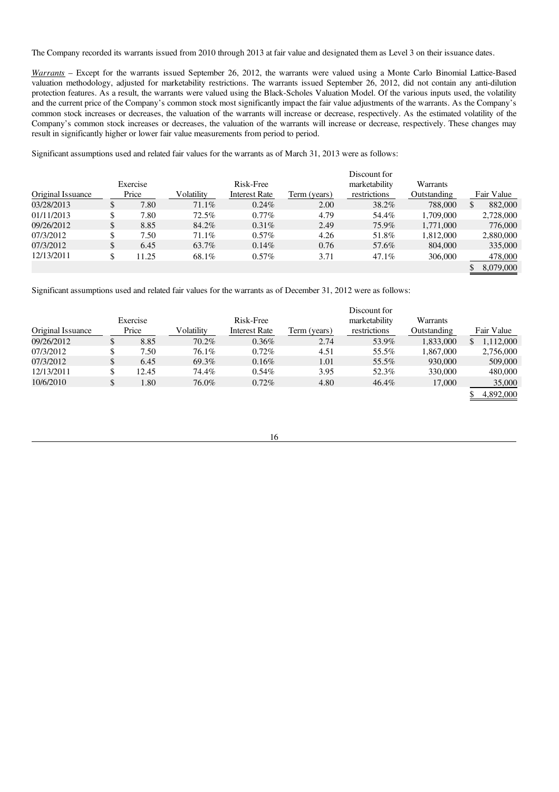The Company recorded its warrants issued from 2010 through 2013 at fair value and designated them as Level 3 on their issuance dates.

*Warrants* – Except for the warrants issued September 26, 2012, the warrants were valued using a Monte Carlo Binomial Lattice-Based valuation methodology, adjusted for marketability restrictions. The warrants issued September 26, 2012, did not contain any anti-dilution protection features. As a result, the warrants were valued using the Black-Scholes Valuation Model. Of the various inputs used, the volatility and the current price of the Company's common stock most significantly impact the fair value adjustments of the warrants. As the Company's common stock increases or decreases, the valuation of the warrants will increase or decrease, respectively. As the estimated volatility of the Company's common stock increases or decreases, the valuation of the warrants will increase or decrease, respectively. These changes may result in significantly higher or lower fair value measurements from period to period.

Significant assumptions used and related fair values for the warrants as of March 31, 2013 were as follows:

|                   |    |          |            |                      |              | Discount for  |             |            |
|-------------------|----|----------|------------|----------------------|--------------|---------------|-------------|------------|
|                   |    | Exercise |            | Risk-Free            |              | marketability | Warrants    |            |
| Original Issuance |    | Price    | Volatility | <b>Interest Rate</b> | Term (years) | restrictions  | Outstanding | Fair Value |
| 03/28/2013        | D  | 7.80     | 71.1%      | $0.24\%$             | 2.00         | 38.2%         | 788,000     | 882,000    |
| 01/11/2013        | \$ | 7.80     | 72.5%      | $0.77\%$             | 4.79         | 54.4%         | 1.709.000   | 2,728,000  |
| 09/26/2012        | \$ | 8.85     | 84.2%      | $0.31\%$             | 2.49         | 75.9%         | 1,771,000   | 776,000    |
| 07/3/2012         | \$ | 7.50     | 71.1%      | $0.57\%$             | 4.26         | 51.8%         | 1,812,000   | 2,880,000  |
| 07/3/2012         | \$ | 6.45     | 63.7%      | $0.14\%$             | 0.76         | 57.6%         | 804,000     | 335,000    |
| 12/13/2011        | Φ  | 1.25     | 68.1%      | $0.57\%$             | 3.71         | 47.1%         | 306,000     | 478,000    |
|                   |    |          |            |                      |              |               |             | 8.079.000  |

Significant assumptions used and related fair values for the warrants as of December 31, 2012 were as follows:

|                   |    |          |            |                      |              | Discount for  |             |            |
|-------------------|----|----------|------------|----------------------|--------------|---------------|-------------|------------|
|                   |    | Exercise |            | Risk-Free            |              | marketability | Warrants    |            |
| Original Issuance |    | Price    | Volatilitv | <b>Interest Rate</b> | Term (years) | restrictions  | Outstanding | Fair Value |
| 09/26/2012        | Φ  | 8.85     | 70.2%      | $0.36\%$             | 2.74         | 53.9%         | 1,833,000   | 1,112,000  |
| 07/3/2012         | \$ | 7.50     | 76.1%      | $0.72\%$             | 4.51         | 55.5%         | 1,867,000   | 2,756,000  |
| 07/3/2012         | \$ | 6.45     | 69.3%      | $0.16\%$             | 1.01         | 55.5%         | 930,000     | 509,000    |
| 12/13/2011        | \$ | 12.45    | 74.4%      | $0.54\%$             | 3.95         | 52.3%         | 330,000     | 480,000    |
| 10/6/2010         | \$ | 1.80     | 76.0%      | $0.72\%$             | 4.80         | 46.4%         | 17,000      | 35,000     |
|                   |    |          |            |                      |              |               |             | 4,892,000  |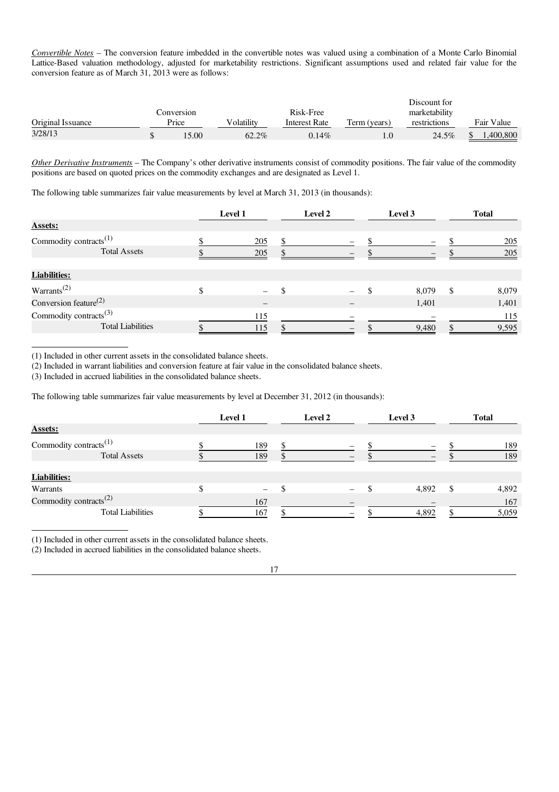*Convertible Notes* – The conversion feature imbedded in the convertible notes was valued using a combination of a Monte Carlo Binomial Lattice-Based valuation methodology, adjusted for marketability restrictions. Significant assumptions used and related fair value for the conversion feature as of March 31, 2013 were as follows:

|                   |       |            |            |           |  | Discount for  |              |              |            |  |
|-------------------|-------|------------|------------|-----------|--|---------------|--------------|--------------|------------|--|
|                   |       | Conversion |            | Risk-Free |  | marketability |              |              |            |  |
| Original Issuance | Price |            | Volatilitv |           |  | Interest Rate | Term (years) | restrictions | Fair Value |  |
| 3/28/13           |       | 5.00       | 62.2%      | $0.14\%$  |  | 24.5%         | .400.800     |              |            |  |

*Other Derivative Instruments* – The Company's other derivative instruments consist of commodity positions. The fair value of the commodity positions are based on quoted prices on the commodity exchanges and are designated as Level 1.

The following table summarizes fair value measurements by level at March 31, 2013 (in thousands):

|                                    | Level 1 |     | Level 2 |  |  | Level 3 |    | <b>Total</b> |  |
|------------------------------------|---------|-----|---------|--|--|---------|----|--------------|--|
| <b>Assets:</b>                     |         |     |         |  |  |         |    |              |  |
| Commodity contracts <sup>(1)</sup> |         | 205 |         |  |  |         |    | 205          |  |
| <b>Total Assets</b>                |         | 205 |         |  |  |         |    | 205          |  |
|                                    |         |     |         |  |  |         |    |              |  |
| <b>Liabilities:</b>                |         |     |         |  |  |         |    |              |  |
| $\text{Warrants}^{(2)}$            |         |     |         |  |  | 8,079   | \$ | 8,079        |  |
| Conversion feature <sup>(2)</sup>  |         |     |         |  |  | 1,401   |    | 1,401        |  |
| Commodity contracts <sup>(3)</sup> |         | 115 |         |  |  |         |    | 115          |  |
| <b>Total Liabilities</b>           |         | 115 |         |  |  | 9.480   |    | 9,595        |  |

(1) Included in other current assets in the consolidated balance sheets.

(2) Included in warrant liabilities and conversion feature at fair value in the consolidated balance sheets.

(3) Included in accrued liabilities in the consolidated balance sheets.

The following table summarizes fair value measurements by level at December 31, 2012 (in thousands):

|                                    | <b>Level 1</b> |                          | Level 2 |                          | Level 3 |                          | <b>Total</b> |       |
|------------------------------------|----------------|--------------------------|---------|--------------------------|---------|--------------------------|--------------|-------|
| Assets:                            |                |                          |         |                          |         |                          |              |       |
| Commodity contracts <sup>(1)</sup> |                | 189                      |         | $\overline{\phantom{0}}$ |         | $\overline{\phantom{0}}$ |              | 189   |
| <b>Total Assets</b>                |                | 189                      |         |                          |         |                          |              | 189   |
| <b>Liabilities:</b>                |                |                          |         |                          |         |                          |              |       |
| Warrants                           |                | $\overline{\phantom{m}}$ |         |                          |         | 4,892                    | \$           | 4,892 |
| Commodity contracts <sup>(2)</sup> |                | 167                      |         |                          |         |                          |              | 167   |
| <b>Total Liabilities</b>           |                | 167                      |         |                          |         | 4,892                    |              | 5,059 |

(1) Included in other current assets in the consolidated balance sheets.

(2) Included in accrued liabilities in the consolidated balance sheets.

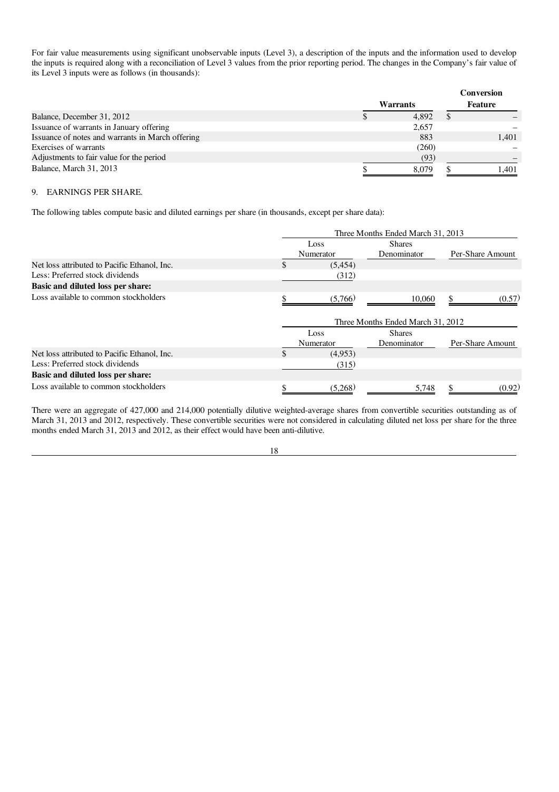For fair value measurements using significant unobservable inputs (Level 3), a description of the inputs and the information used to develop the inputs is required along with a reconciliation of Level 3 values from the prior reporting period. The changes in the Company's fair value of its Level 3 inputs were as follows (in thousands):

|                                                  |                 |         | Conversion |
|--------------------------------------------------|-----------------|---------|------------|
|                                                  | <b>Warrants</b> | Feature |            |
| Balance, December 31, 2012                       | 4.892           |         |            |
| Issuance of warrants in January offering         | 2,657           |         |            |
| Issuance of notes and warrants in March offering | 883             |         | 1,401      |
| Exercises of warrants                            | (260)           |         |            |
| Adjustments to fair value for the period         | (93)            |         |            |
| Balance, March 31, 2013                          | 8,079           |         | .401       |

## 9. EARNINGS PER SHARE.

The following tables compute basic and diluted earnings per share (in thousands, except per share data):

|                                              |                                   | Three Months Ended March 31, 2013 |               |                  |                  |  |  |  |  |
|----------------------------------------------|-----------------------------------|-----------------------------------|---------------|------------------|------------------|--|--|--|--|
|                                              |                                   | Loss                              | <b>Shares</b> |                  |                  |  |  |  |  |
|                                              |                                   | Numerator                         | Denominator   | Per-Share Amount |                  |  |  |  |  |
| Net loss attributed to Pacific Ethanol, Inc. |                                   | (5,454)                           |               |                  |                  |  |  |  |  |
| Less: Preferred stock dividends              |                                   | (312)                             |               |                  |                  |  |  |  |  |
| Basic and diluted loss per share:            |                                   |                                   |               |                  |                  |  |  |  |  |
| Loss available to common stockholders        |                                   | (5,766)                           | 10,060        |                  | (0.57)           |  |  |  |  |
|                                              | Three Months Ended March 31, 2012 |                                   |               |                  |                  |  |  |  |  |
|                                              |                                   | Loss                              | <b>Shares</b> |                  |                  |  |  |  |  |
|                                              |                                   | Numerator                         | Denominator   |                  | Per-Share Amount |  |  |  |  |
| Net loss attributed to Pacific Ethanol, Inc. | \$                                | (4.953)                           |               |                  |                  |  |  |  |  |
| Less: Preferred stock dividends              |                                   | (315)                             |               |                  |                  |  |  |  |  |
| <b>Basic and diluted loss per share:</b>     |                                   |                                   |               |                  |                  |  |  |  |  |
| Loss available to common stockholders        | \$                                | (5.268)                           | 5.748         |                  | (0.92)           |  |  |  |  |

There were an aggregate of 427,000 and 214,000 potentially dilutive weighted-average shares from convertible securities outstanding as of March 31, 2013 and 2012, respectively. These convertible securities were not considered in calculating diluted net loss per share for the three months ended March 31, 2013 and 2012, as their effect would have been anti-dilutive.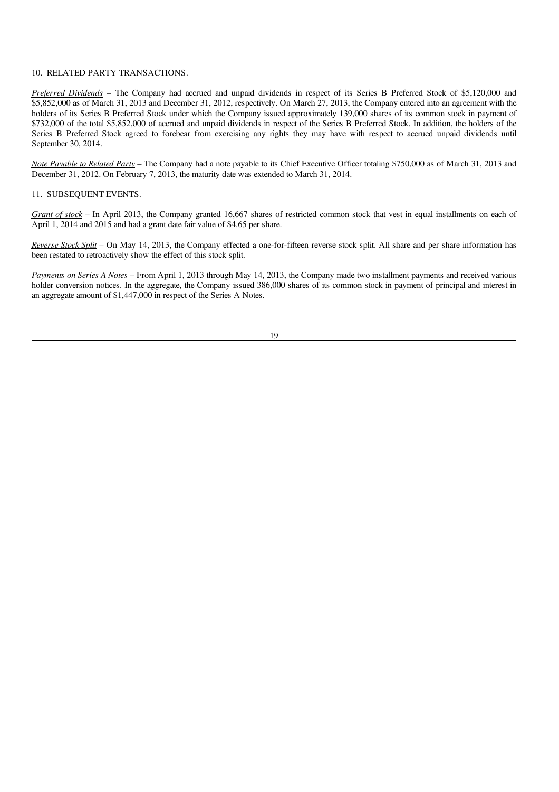## 10. RELATED PARTY TRANSACTIONS.

*Preferred Dividends* – The Company had accrued and unpaid dividends in respect of its Series B Preferred Stock of \$5,120,000 and \$5,852,000 as of March 31, 2013 and December 31, 2012, respectively. On March 27, 2013, the Company entered into an agreement with the holders of its Series B Preferred Stock under which the Company issued approximately 139,000 shares of its common stock in payment of \$732,000 of the total \$5,852,000 of accrued and unpaid dividends in respect of the Series B Preferred Stock. In addition, the holders of the Series B Preferred Stock agreed to forebear from exercising any rights they may have with respect to accrued unpaid dividends until September 30, 2014.

*Note Payable to Related Party* – The Company had a note payable to its Chief Executive Officer totaling \$750,000 as of March 31, 2013 and December 31, 2012. On February 7, 2013, the maturity date was extended to March 31, 2014.

#### 11. SUBSEQUENT EVENTS.

*Grant of stock* – In April 2013, the Company granted 16,667 shares of restricted common stock that vest in equal installments on each of April 1, 2014 and 2015 and had a grant date fair value of \$4.65 per share.

*Reverse Stock Split* – On May 14, 2013, the Company effected a one-for-fifteen reverse stock split. All share and per share information has been restated to retroactively show the effect of this stock split.

*Payments on Series A Notes* – From April 1, 2013 through May 14, 2013, the Company made two installment payments and received various holder conversion notices. In the aggregate, the Company issued 386,000 shares of its common stock in payment of principal and interest in an aggregate amount of \$1,447,000 in respect of the Series A Notes.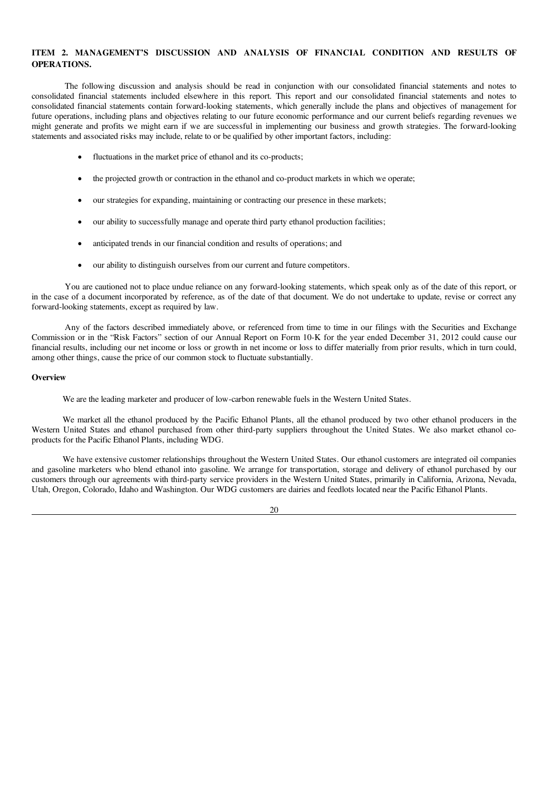## ITEM 2. MANAGEMENT'S DISCUSSION AND ANALYSIS OF FINANCIAL CONDITION AND RESULTS OF OPERATIONS.

The following discussion and analysis should be read in conjunction with our consolidated financial statements and notes to consolidated financial statements included elsewhere in this report. This report and our consolidated financial statements and notes to consolidated financial statements contain forward-looking statements, which generally include the plans and objectives of management for future operations, including plans and objectives relating to our future economic performance and our current beliefs regarding revenues we might generate and profits we might earn if we are successful in implementing our business and growth strategies. The forward-looking statements and associated risks may include, relate to or be qualified by other important factors, including:

- fluctuations in the market price of ethanol and its co-products;
- the projected growth or contraction in the ethanol and co-product markets in which we operate;
- our strategies for expanding, maintaining or contracting our presence in these markets;
- our ability to successfully manage and operate third party ethanol production facilities;
- anticipated trends in our financial condition and results of operations; and
- · our ability to distinguish ourselves from our current and future competitors.

You are cautioned not to place undue reliance on any forward-looking statements, which speak only as of the date of this report, or in the case of a document incorporated by reference, as of the date of that document. We do not undertake to update, revise or correct any forward-looking statements, except as required by law.

Any of the factors described immediately above, or referenced from time to time in our filings with the Securities and Exchange Commission or in the "Risk Factors" section of our Annual Report on Form 10-K for the year ended December 31, 2012 could cause our financial results, including our net income or loss or growth in net income or loss to differ materially from prior results, which in turn could, among other things, cause the price of our common stock to fluctuate substantially.

## **Overview**

We are the leading marketer and producer of low-carbon renewable fuels in the Western United States.

We market all the ethanol produced by the Pacific Ethanol Plants, all the ethanol produced by two other ethanol producers in the Western United States and ethanol purchased from other third-party suppliers throughout the United States. We also market ethanol coproducts for the Pacific Ethanol Plants, including WDG.

We have extensive customer relationships throughout the Western United States. Our ethanol customers are integrated oil companies and gasoline marketers who blend ethanol into gasoline. We arrange for transportation, storage and delivery of ethanol purchased by our customers through our agreements with third-party service providers in the Western United States, primarily in California, Arizona, Nevada, Utah, Oregon, Colorado, Idaho and Washington. Our WDG customers are dairies and feedlots located near the Pacific Ethanol Plants.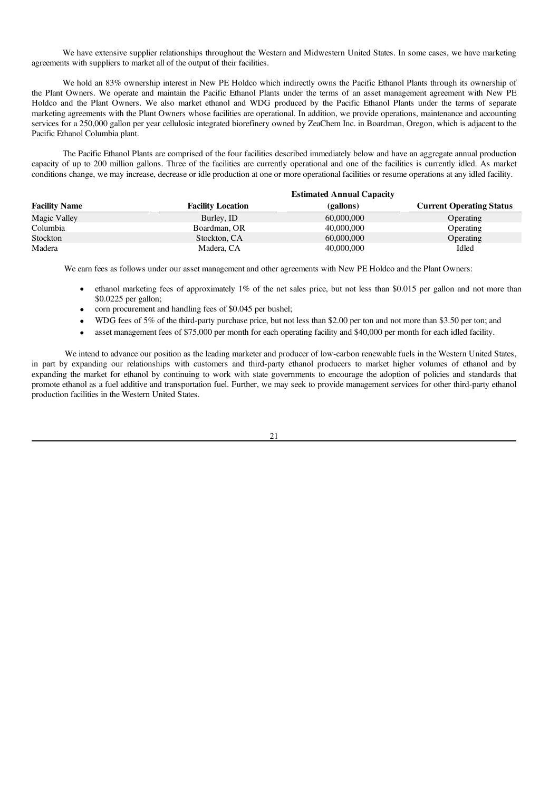We have extensive supplier relationships throughout the Western and Midwestern United States. In some cases, we have marketing agreements with suppliers to market all of the output of their facilities.

We hold an 83% ownership interest in New PE Holdco which indirectly owns the Pacific Ethanol Plants through its ownership of the Plant Owners. We operate and maintain the Pacific Ethanol Plants under the terms of an asset management agreement with New PE Holdco and the Plant Owners. We also market ethanol and WDG produced by the Pacific Ethanol Plants under the terms of separate marketing agreements with the Plant Owners whose facilities are operational. In addition, we provide operations, maintenance and accounting services for a 250,000 gallon per year cellulosic integrated biorefinery owned by ZeaChem Inc. in Boardman, Oregon, which is adjacent to the Pacific Ethanol Columbia plant.

The Pacific Ethanol Plants are comprised of the four facilities described immediately below and have an aggregate annual production capacity of up to 200 million gallons. Three of the facilities are currently operational and one of the facilities is currently idled. As market conditions change, we may increase, decrease or idle production at one or more operational facilities or resume operations at any idled facility.

|                      | <b>Estimated Annual Capacity</b> |            |                                 |  |  |  |  |  |  |
|----------------------|----------------------------------|------------|---------------------------------|--|--|--|--|--|--|
| <b>Facility Name</b> | <b>Facility Location</b>         | (gallons)  | <b>Current Operating Status</b> |  |  |  |  |  |  |
| Magic Valley         | Burley, ID                       | 60,000,000 | Operating                       |  |  |  |  |  |  |
| Columbia             | Boardman, OR                     | 40,000,000 | Operating                       |  |  |  |  |  |  |
| Stockton             | Stockton, CA                     | 60,000,000 | Operating                       |  |  |  |  |  |  |
| Madera               | Madera, CA                       | 40,000,000 | Idled                           |  |  |  |  |  |  |

We earn fees as follows under our asset management and other agreements with New PE Holdco and the Plant Owners:

- ethanol marketing fees of approximately 1% of the net sales price, but not less than \$0.015 per gallon and not more than \$0.0225 per gallon;
- corn procurement and handling fees of \$0.045 per bushel:
- WDG fees of 5% of the third-party purchase price, but not less than \$2.00 per ton and not more than \$3.50 per ton; and
- asset management fees of \$75,000 per month for each operating facility and \$40,000 per month for each idled facility.

We intend to advance our position as the leading marketer and producer of low-carbon renewable fuels in the Western United States, in part by expanding our relationships with customers and third-party ethanol producers to market higher volumes of ethanol and by expanding the market for ethanol by continuing to work with state governments to encourage the adoption of policies and standards that promote ethanol as a fuel additive and transportation fuel. Further, we may seek to provide management services for other third-party ethanol production facilities in the Western United States.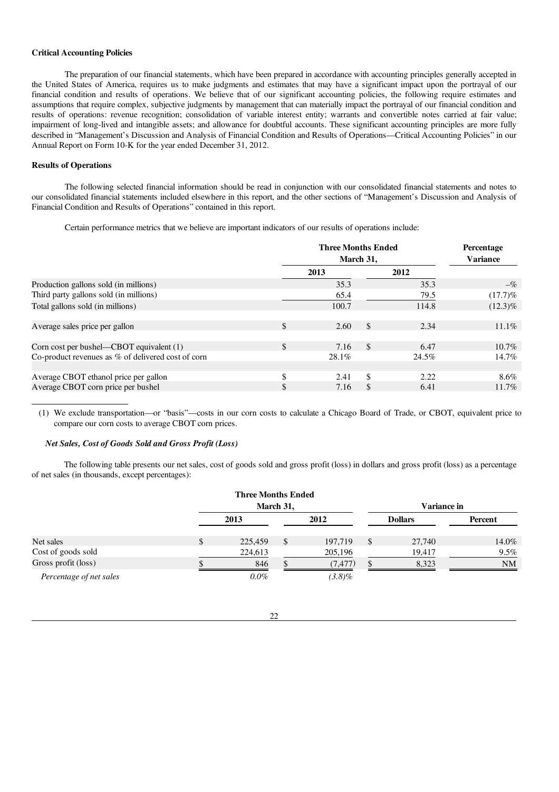#### Critical Accounting Policies

The preparation of our financial statements, which have been prepared in accordance with accounting principles generally accepted in the United States of America, requires us to make judgments and estimates that may have a significant impact upon the portrayal of our financial condition and results of operations. We believe that of our significant accounting policies, the following require estimates and assumptions that require complex, subjective judgments by management that can materially impact the portrayal of our financial condition and results of operations: revenue recognition; consolidation of variable interest entity; warrants and convertible notes carried at fair value; impairment of long-lived and intangible assets; and allowance for doubtful accounts. These significant accounting principles are more fully described in "Management's Discussion and Analysis of Financial Condition and Results of Operations—Critical Accounting Policies" in our Annual Report on Form 10-K for the year ended December 31, 2012.

#### Results of Operations

The following selected financial information should be read in conjunction with our consolidated financial statements and notes to our consolidated financial statements included elsewhere in this report, and the other sections of "Management's Discussion and Analysis of Financial Condition and Results of Operations" contained in this report.

Certain performance metrics that we believe are important indicators of our results of operations include:

|                                                    |               | <b>Three Months Ended</b><br>March 31, | Percentage<br><b>Variance</b> |       |            |
|----------------------------------------------------|---------------|----------------------------------------|-------------------------------|-------|------------|
|                                                    |               | 2013                                   |                               | 2012  |            |
| Production gallons sold (in millions)              |               | 35.3                                   |                               | 35.3  | $-\%$      |
| Third party gallons sold (in millions)             |               | 65.4                                   |                               | 79.5  | $(17.7)\%$ |
| Total gallons sold (in millions)                   |               | 100.7                                  |                               | 114.8 | $(12.3)\%$ |
| Average sales price per gallon                     | $\mathcal{S}$ | 2.60                                   | $\mathcal{S}$                 | 2.34  | $11.1\%$   |
| Corn cost per bushel—CBOT equivalent (1)           | $\mathcal{S}$ | 7.16                                   | $\mathcal{S}$                 | 6.47  | $10.7\%$   |
| Co-product revenues as % of delivered cost of corn |               | 28.1%                                  |                               | 24.5% | 14.7%      |
| Average CBOT ethanol price per gallon              | \$            | 2.41                                   | $\mathcal{S}$                 | 2.22  | 8.6%       |
| Average CBOT corn price per bushel                 | $\mathcal{S}$ | 7.16                                   | \$                            | 6.41  | 11.7%      |

(1) We exclude transportation—or "basis"—costs in our corn costs to calculate a Chicago Board of Trade, or CBOT, equivalent price to compare our corn costs to average CBOT corn prices.

### *Net Sales, Cost of Goods Sold and Gross Profit (Loss)*

The following table presents our net sales, cost of goods sold and gross profit (loss) in dollars and gross profit (loss) as a percentage of net sales (in thousands, except percentages):

|                         | <b>Three Months Ended</b> |      |           |                |             |         |  |  |
|-------------------------|---------------------------|------|-----------|----------------|-------------|---------|--|--|
|                         | March 31,                 |      |           |                | Variance in |         |  |  |
|                         | 2013                      | 2012 |           | <b>Dollars</b> |             | Percent |  |  |
| Net sales               | 225,459                   |      | 197,719   |                | 27,740      | 14.0%   |  |  |
| Cost of goods sold      | 224,613                   |      | 205,196   |                | 19,417      | 9.5%    |  |  |
| Gross profit (loss)     | 846                       |      | (7, 477)  |                | 8,323       | NM      |  |  |
| Percentage of net sales | $0.0\%$                   |      | $(3.8)\%$ |                |             |         |  |  |

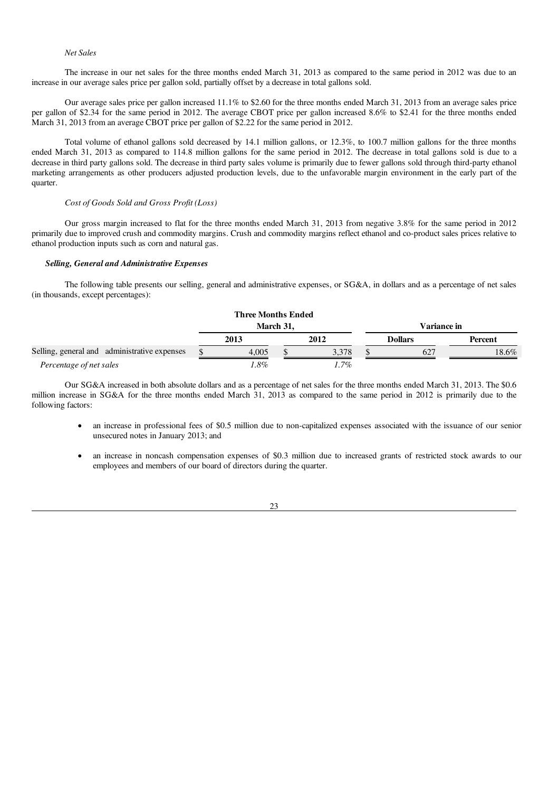#### *Net Sales*

The increase in our net sales for the three months ended March 31, 2013 as compared to the same period in 2012 was due to an increase in our average sales price per gallon sold, partially offset by a decrease in total gallons sold.

Our average sales price per gallon increased 11.1% to \$2.60 for the three months ended March 31, 2013 from an average sales price per gallon of \$2.34 for the same period in 2012. The average CBOT price per gallon increased 8.6% to \$2.41 for the three months ended March 31, 2013 from an average CBOT price per gallon of \$2.22 for the same period in 2012.

Total volume of ethanol gallons sold decreased by 14.1 million gallons, or 12.3%, to 100.7 million gallons for the three months ended March 31, 2013 as compared to 114.8 million gallons for the same period in 2012. The decrease in total gallons sold is due to a decrease in third party gallons sold. The decrease in third party sales volume is primarily due to fewer gallons sold through third-party ethanol marketing arrangements as other producers adjusted production levels, due to the unfavorable margin environment in the early part of the quarter.

#### *Cost of Goods Sold and Gross Profit (Loss)*

Our gross margin increased to flat for the three months ended March 31, 2013 from negative 3.8% for the same period in 2012 primarily due to improved crush and commodity margins. Crush and commodity margins reflect ethanol and co-product sales prices relative to ethanol production inputs such as corn and natural gas.

#### *Selling, General and Administrative Expenses*

The following table presents our selling, general and administrative expenses, or SG&A, in dollars and as a percentage of net sales (in thousands, except percentages):

|                                              |           | <b>Three Months Ended</b> |  |       |             |                |         |
|----------------------------------------------|-----------|---------------------------|--|-------|-------------|----------------|---------|
|                                              | March 31, |                           |  |       | Variance in |                |         |
|                                              |           | 2013                      |  | 2012  |             | <b>Dollars</b> | Percent |
| Selling, general and administrative expenses |           | 4.005                     |  | 3.378 |             | 627            | 18.6%   |
| Percentage of net sales                      |           | 1.8%                      |  | .7%   |             |                |         |

Our SG&A increased in both absolute dollars and as a percentage of net sales for the three months ended March 31, 2013. The \$0.6 million increase in SG&A for the three months ended March 31, 2013 as compared to the same period in 2012 is primarily due to the following factors:

- an increase in professional fees of \$0.5 million due to non-capitalized expenses associated with the issuance of our senior unsecured notes in January 2013; and
- an increase in noncash compensation expenses of \$0.3 million due to increased grants of restricted stock awards to our employees and members of our board of directors during the quarter.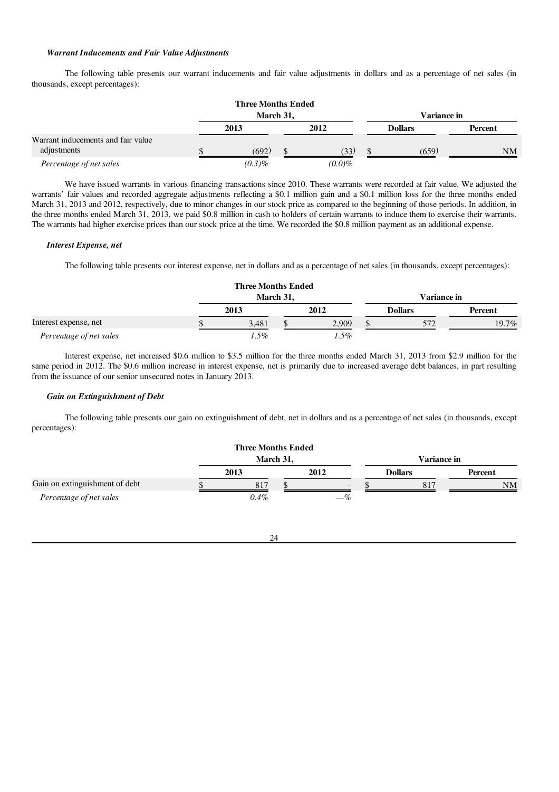## *Warrant Inducements and Fair Value Adjustments*

The following table presents our warrant inducements and fair value adjustments in dollars and as a percentage of net sales (in thousands, except percentages):

|                                                   | <b>Three Months Ended</b><br>March 31, |  |           | Variance in |                |         |  |
|---------------------------------------------------|----------------------------------------|--|-----------|-------------|----------------|---------|--|
|                                                   | 2013                                   |  | 2012      |             | <b>Dollars</b> | Percent |  |
| Warrant inducements and fair value<br>adjustments | (692)                                  |  | (33)      |             | (659)          | NΜ      |  |
| Percentage of net sales                           | $(0.3)\%$                              |  | $(0.0)\%$ |             |                |         |  |

We have issued warrants in various financing transactions since 2010. These warrants were recorded at fair value. We adjusted the warrants' fair values and recorded aggregate adjustments reflecting a \$0.1 million gain and a \$0.1 million loss for the three months ended March 31, 2013 and 2012, respectively, due to minor changes in our stock price as compared to the beginning of those periods. In addition, in the three months ended March 31, 2013, we paid \$0.8 million in cash to holders of certain warrants to induce them to exercise their warrants. The warrants had higher exercise prices than our stock price at the time. We recorded the \$0.8 million payment as an additional expense.

#### *Interest Expense, net*

The following table presents our interest expense, net in dollars and as a percentage of net sales (in thousands, except percentages):

|                         | <b>Three Months Ended</b> |  |        |  |                |         |  |
|-------------------------|---------------------------|--|--------|--|----------------|---------|--|
|                         | March 31.                 |  |        |  | Variance in    |         |  |
|                         | 2013                      |  | 2012   |  | <b>Dollars</b> | Percent |  |
| Interest expense, net   | 3.481                     |  | 2.909  |  | 572            | 19.7%   |  |
| Percentage of net sales | 1.5%                      |  | $.5\%$ |  |                |         |  |

Interest expense, net increased \$0.6 million to \$3.5 million for the three months ended March 31, 2013 from \$2.9 million for the same period in 2012. The \$0.6 million increase in interest expense, net is primarily due to increased average debt balances, in part resulting from the issuance of our senior unsecured notes in January 2013.

## *Gain on Extinguishment of Debt*

The following table presents our gain on extinguishment of debt, net in dollars and as a percentage of net sales (in thousands, except percentages):

|                                | <b>Three Months Ended</b> |  |                          |  |             |         |  |
|--------------------------------|---------------------------|--|--------------------------|--|-------------|---------|--|
|                                | March 31,                 |  |                          |  | Variance in |         |  |
|                                | 2013                      |  | 2012                     |  | Dollars     | Percent |  |
| Gain on extinguishment of debt | 817                       |  | $\overline{\phantom{m}}$ |  | 817         | NΜ      |  |
| Percentage of net sales        | $0.4\%$                   |  | $-\%$                    |  |             |         |  |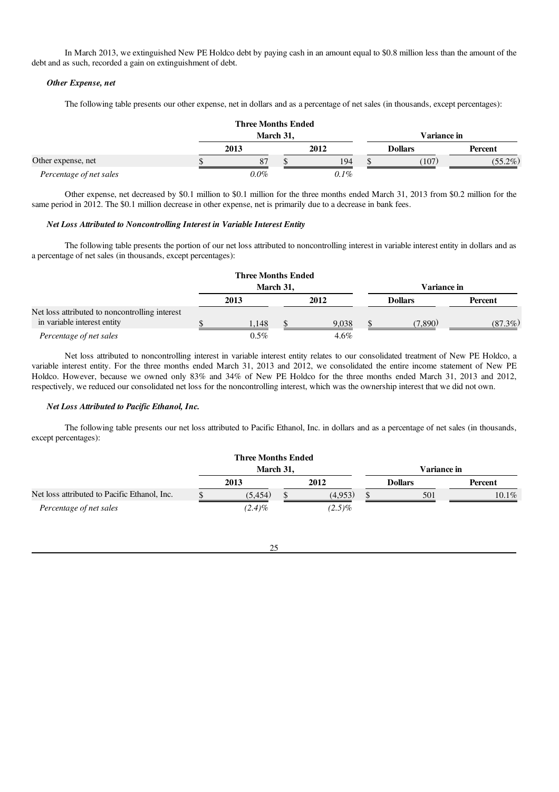In March 2013, we extinguished New PE Holdco debt by paying cash in an amount equal to \$0.8 million less than the amount of the debt and as such, recorded a gain on extinguishment of debt.

### *Other Expense, net*

The following table presents our other expense, net in dollars and as a percentage of net sales (in thousands, except percentages):

|                         | <b>Three Months Ended</b> |  |      |  |                |            |  |
|-------------------------|---------------------------|--|------|--|----------------|------------|--|
|                         | March 31.                 |  |      |  | Variance in    |            |  |
|                         | 2013                      |  | 2012 |  | <b>Dollars</b> | Percent    |  |
| Other expense, net      | 87                        |  | 194  |  | (107)          | $(55.2\%)$ |  |
| Percentage of net sales | $0.0\%$                   |  | 0.1% |  |                |            |  |

Other expense, net decreased by \$0.1 million to \$0.1 million for the three months ended March 31, 2013 from \$0.2 million for the same period in 2012. The \$0.1 million decrease in other expense, net is primarily due to a decrease in bank fees.

## *Net Loss Attributed to Noncontrolling Interest in Variable Interest Entity*

The following table presents the portion of our net loss attributed to noncontrolling interest in variable interest entity in dollars and as a percentage of net sales (in thousands, except percentages):

|                                                                               |           | <b>Three Months Ended</b> |  |         |             |                |         |
|-------------------------------------------------------------------------------|-----------|---------------------------|--|---------|-------------|----------------|---------|
|                                                                               | March 31, |                           |  |         | Variance in |                |         |
|                                                                               |           | 2013                      |  | 2012    |             | <b>Dollars</b> | Percent |
| Net loss attributed to noncontrolling interest<br>in variable interest entity |           | l.148                     |  | 9.038   |             | (7.890)        | (87.3%) |
| Percentage of net sales                                                       |           | $0.5\%$                   |  | $4.6\%$ |             |                |         |

Net loss attributed to noncontrolling interest in variable interest entity relates to our consolidated treatment of New PE Holdco, a variable interest entity. For the three months ended March 31, 2013 and 2012, we consolidated the entire income statement of New PE Holdco. However, because we owned only 83% and 34% of New PE Holdco for the three months ended March 31, 2013 and 2012, respectively, we reduced our consolidated net loss for the noncontrolling interest, which was the ownership interest that we did not own.

## *Net Loss Attributed to Pacific Ethanol, Inc.*

The following table presents our net loss attributed to Pacific Ethanol, Inc. in dollars and as a percentage of net sales (in thousands, except percentages):

|                                              |           | <b>Three Months Ended</b> |  |           |  |                |          |
|----------------------------------------------|-----------|---------------------------|--|-----------|--|----------------|----------|
|                                              | March 31. |                           |  |           |  | Variance in    |          |
|                                              |           | 2013                      |  | 2012      |  | <b>Dollars</b> | Percent  |
| Net loss attributed to Pacific Ethanol, Inc. |           | (5.454)                   |  | (4.953)   |  | 501            | $10.1\%$ |
| Percentage of net sales                      |           | $(2.4)\%$                 |  | $(2.5)\%$ |  |                |          |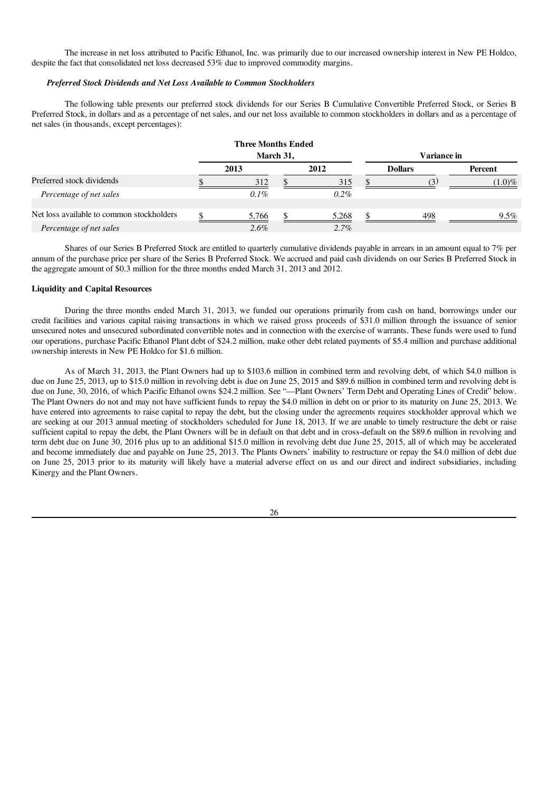The increase in net loss attributed to Pacific Ethanol, Inc. was primarily due to our increased ownership interest in New PE Holdco, despite the fact that consolidated net loss decreased 53% due to improved commodity margins.

#### *Preferred Stock Dividends and Net Loss Available to Common Stockholders*

The following table presents our preferred stock dividends for our Series B Cumulative Convertible Preferred Stock, or Series B Preferred Stock, in dollars and as a percentage of net sales, and our net loss available to common stockholders in dollars and as a percentage of net sales (in thousands, except percentages):

|                                           |           | <b>Three Months Ended</b> |  |             |  |                |           |
|-------------------------------------------|-----------|---------------------------|--|-------------|--|----------------|-----------|
|                                           | March 31, |                           |  | Variance in |  |                |           |
|                                           |           | 2013                      |  | 2012        |  | <b>Dollars</b> | Percent   |
| Preferred stock dividends                 |           | 312                       |  | 315         |  | 3.             | $(1.0)\%$ |
| Percentage of net sales                   |           | $0.1\%$                   |  | $0.2\%$     |  |                |           |
| Net loss available to common stockholders |           | 5,766                     |  | 5,268       |  | 498            | $9.5\%$   |
| Percentage of net sales                   |           | 2.6%                      |  | 2.7%        |  |                |           |

Shares of our Series B Preferred Stock are entitled to quarterly cumulative dividends payable in arrears in an amount equal to 7% per annum of the purchase price per share of the Series B Preferred Stock. We accrued and paid cash dividends on our Series B Preferred Stock in the aggregate amount of \$0.3 million for the three months ended March 31, 2013 and 2012.

#### Liquidity and Capital Resources

During the three months ended March 31, 2013, we funded our operations primarily from cash on hand, borrowings under our credit facilities and various capital raising transactions in which we raised gross proceeds of \$31.0 million through the issuance of senior unsecured notes and unsecured subordinated convertible notes and in connection with the exercise of warrants. These funds were used to fund our operations, purchase Pacific Ethanol Plant debt of \$24.2 million, make other debt related payments of \$5.4 million and purchase additional ownership interests in New PE Holdco for \$1.6 million.

As of March 31, 2013, the Plant Owners had up to \$103.6 million in combined term and revolving debt, of which \$4.0 million is due on June 25, 2013, up to \$15.0 million in revolving debt is due on June 25, 2015 and \$89.6 million in combined term and revolving debt is due on June, 30, 2016, of which Pacific Ethanol owns \$24.2 million. See "---Plant Owners' Term Debt and Operating Lines of Credit" below. The Plant Owners do not and may not have sufficient funds to repay the \$4.0 million in debt on or prior to its maturity on June 25, 2013. We have entered into agreements to raise capital to repay the debt, but the closing under the agreements requires stockholder approval which we are seeking at our 2013 annual meeting of stockholders scheduled for June 18, 2013. If we are unable to timely restructure the debt or raise sufficient capital to repay the debt, the Plant Owners will be in default on that debt and in cross-default on the \$89.6 million in revolving and term debt due on June 30, 2016 plus up to an additional \$15.0 million in revolving debt due June 25, 2015, all of which may be accelerated and become immediately due and payable on June 25, 2013. The Plants Owners' inability to restructure or repay the \$4.0 million of debt due on June 25, 2013 prior to its maturity will likely have a material adverse effect on us and our direct and indirect subsidiaries, including Kinergy and the Plant Owners.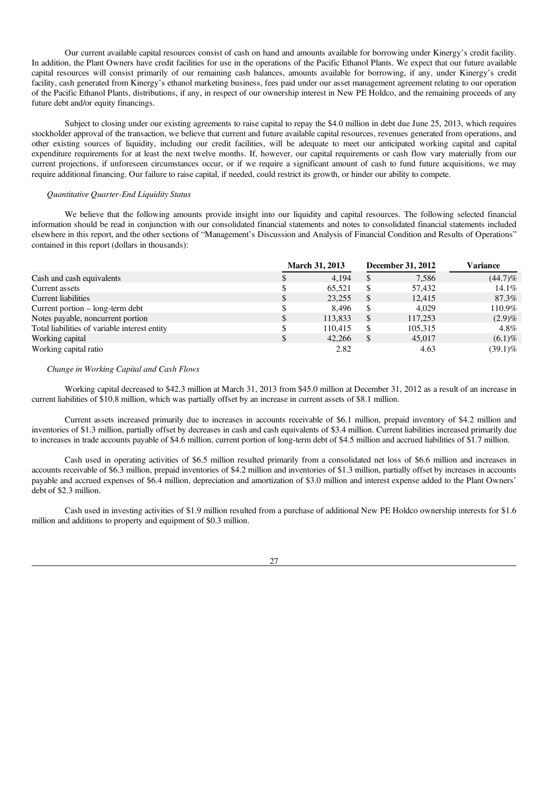Our current available capital resources consist of cash on hand and amounts available for borrowing under Kinergy's credit facility. In addition, the Plant Owners have credit facilities for use in the operations of the Pacific Ethanol Plants. We expect that our future available capital resources will consist primarily of our remaining cash balances, amounts available for borrowing, if any, under Kinergy's credit facility, cash generated from Kinergy's ethanol marketing business, fees paid under our asset management agreement relating to our operation of the Pacific Ethanol Plants, distributions, if any, in respect of our ownership interest in New PE Holdco, and the remaining proceeds of any future debt and/or equity financings.

Subject to closing under our existing agreements to raise capital to repay the \$4.0 million in debt due June 25, 2013, which requires stockholder approval of the transaction, we believe that current and future available capital resources, revenues generated from operations, and other existing sources of liquidity, including our credit facilities, will be adequate to meet our anticipated working capital and capital expenditure requirements for at least the next twelve months. If, however, our capital requirements or cash flow vary materially from our current projections, if unforeseen circumstances occur, or if we require a significant amount of cash to fund future acquisitions, we may require additional financing. Our failure to raise capital, if needed, could restrict its growth, or hinder our ability to compete.

#### *Quantitative Quarter-End Liquidity Status*

We believe that the following amounts provide insight into our liquidity and capital resources. The following selected financial information should be read in conjunction with our consolidated financial statements and notes to consolidated financial statements included elsewhere in this report, and the other sections of "Management's Discussion and Analysis of Financial Condition and Results of Operations" contained in this report (dollars in thousands):

|                                               | March 31, 2013 |     | December 31, 2012 | <b>Variance</b> |
|-----------------------------------------------|----------------|-----|-------------------|-----------------|
| Cash and cash equivalents                     | 4.194          | \$. | 7.586             | $(44.7)\%$      |
| Current assets                                | 65,521         | S   | 57,432            | 14.1%           |
| Current liabilities                           | \$<br>23,255   |     | 12.415            | 87.3%           |
| Current portion – long-term debt              | 8.496          | \$. | 4.029             | 110.9%          |
| Notes payable, noncurrent portion             | \$<br>113,833  |     | 117,253           | $(2.9)\%$       |
| Total liabilities of variable interest entity | 110.415        |     | 105,315           | $4.8\%$         |
| Working capital                               | 42,266         |     | 45,017            | $(6.1)\%$       |
| Working capital ratio                         | 2.82           |     | 4.63              | $(39.1)\%$      |

#### *Change in Working Capital and Cash Flows*

Working capital decreased to \$42.3 million at March 31, 2013 from \$45.0 million at December 31, 2012 as a result of an increase in current liabilities of \$10.8 million, which was partially offset by an increase in current assets of \$8.1 million.

Current assets increased primarily due to increases in accounts receivable of \$6.1 million, prepaid inventory of \$4.2 million and inventories of \$1.3 million, partially offset by decreases in cash and cash equivalents of \$3.4 million. Current liabilities increased primarily due to increases in trade accounts payable of \$4.6 million, current portion of long-term debt of \$4.5 million and accrued liabilities of \$1.7 million.

Cash used in operating activities of \$6.5 million resulted primarily from a consolidated net loss of \$6.6 million and increases in accounts receivable of \$6.3 million, prepaid inventories of \$4.2 million and inventories of \$1.3 million, partially offset by increases in accounts payable and accrued expenses of \$6.4 million, depreciation and amortization of \$3.0 million and interest expense added to the Plant Owners' debt of \$2.3 million.

Cash used in investing activities of \$1.9 million resulted from a purchase of additional New PE Holdco ownership interests for \$1.6 million and additions to property and equipment of \$0.3 million.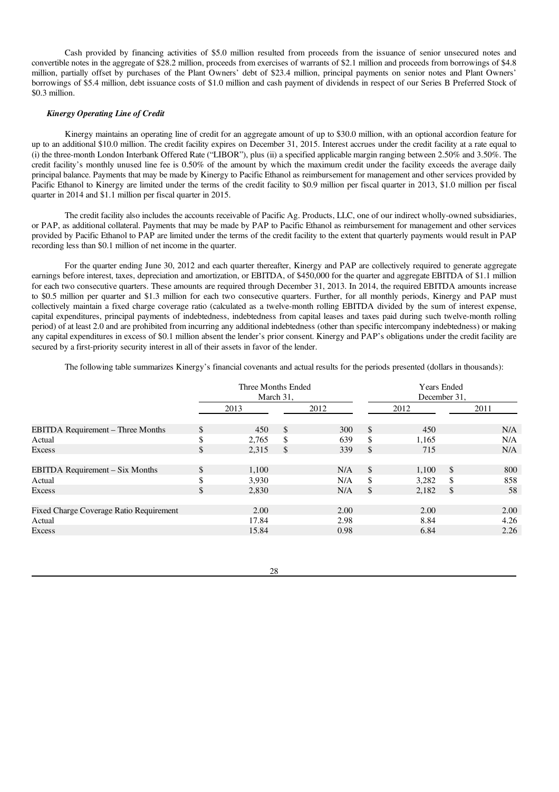Cash provided by financing activities of \$5.0 million resulted from proceeds from the issuance of senior unsecured notes and convertible notes in the aggregate of \$28.2 million, proceeds from exercises of warrants of \$2.1 million and proceeds from borrowings of \$4.8 million, partially offset by purchases of the Plant Owners' debt of \$23.4 million, principal payments on senior notes and Plant Owners' borrowings of \$5.4 million, debt issuance costs of \$1.0 million and cash payment of dividends in respect of our Series B Preferred Stock of \$0.3 million.

### *Kinergy Operating Line of Credit*

Kinergy maintains an operating line of credit for an aggregate amount of up to \$30.0 million, with an optional accordion feature for up to an additional \$10.0 million. The credit facility expires on December 31, 2015. Interest accrues under the credit facility at a rate equal to (i) the three-month London Interbank Offered Rate ("LIBOR"), plus (ii) a specified applicable margin ranging between 2.50% and 3.50%. The credit facility's monthly unused line fee is 0.50% of the amount by which the maximum credit under the facility exceeds the average daily principal balance. Payments that may be made by Kinergy to Pacific Ethanol as reimbursement for management and other services provided by Pacific Ethanol to Kinergy are limited under the terms of the credit facility to \$0.9 million per fiscal quarter in 2013, \$1.0 million per fiscal quarter in 2014 and \$1.1 million per fiscal quarter in 2015.

The credit facility also includes the accounts receivable of Pacific Ag. Products, LLC, one of our indirect wholly-owned subsidiaries, or PAP, as additional collateral. Payments that may be made by PAP to Pacific Ethanol as reimbursement for management and other services provided by Pacific Ethanol to PAP are limited under the terms of the credit facility to the extent that quarterly payments would result in PAP recording less than \$0.1 million of net income in the quarter.

For the quarter ending June 30, 2012 and each quarter thereafter, Kinergy and PAP are collectively required to generate aggregate earnings before interest, taxes, depreciation and amortization, or EBITDA, of \$450,000 for the quarter and aggregate EBITDA of \$1.1 million for each two consecutive quarters. These amounts are required through December 31, 2013. In 2014, the required EBITDA amounts increase to \$0.5 million per quarter and \$1.3 million for each two consecutive quarters. Further, for all monthly periods, Kinergy and PAP must collectively maintain a fixed charge coverage ratio (calculated as a twelve-month rolling EBITDA divided by the sum of interest expense, capital expenditures, principal payments of indebtedness, indebtedness from capital leases and taxes paid during such twelve-month rolling period) of at least 2.0 and are prohibited from incurring any additional indebtedness (other than specific intercompany indebtedness) or making any capital expenditures in excess of \$0.1 million absent the lender's prior consent. Kinergy and PAP's obligations under the credit facility are secured by a first-priority security interest in all of their assets in favor of the lender.

The following table summarizes Kinergy's financial covenants and actual results for the periods presented (dollars in thousands):

|                                         | Three Months Ended<br>March 31. |       |    |      | Years Ended<br>December 31. |    |      |
|-----------------------------------------|---------------------------------|-------|----|------|-----------------------------|----|------|
|                                         |                                 | 2013  |    | 2012 | 2012                        |    | 2011 |
| EBITDA Requirement - Three Months       | \$                              | 450   | \$ | 300  | \$<br>450                   |    | N/A  |
| Actual                                  | \$                              | 2,765 | S  | 639  | \$<br>1,165                 |    | N/A  |
| <b>Excess</b>                           | \$                              | 2,315 | \$ | 339  | \$<br>715                   |    | N/A  |
| EBITDA Requirement - Six Months         | \$                              | 1,100 |    | N/A  | \$<br>1,100                 | \$ | 800  |
| Actual                                  | \$                              | 3,930 |    | N/A  | \$<br>3,282                 | \$ | 858  |
| Excess                                  | \$                              | 2,830 |    | N/A  | \$<br>2,182                 | \$ | 58   |
| Fixed Charge Coverage Ratio Requirement |                                 | 2.00  |    | 2.00 | 2.00                        |    | 2.00 |
| Actual                                  |                                 | 17.84 |    | 2.98 | 8.84                        |    | 4.26 |
| <b>Excess</b>                           |                                 | 15.84 |    | 0.98 | 6.84                        |    | 2.26 |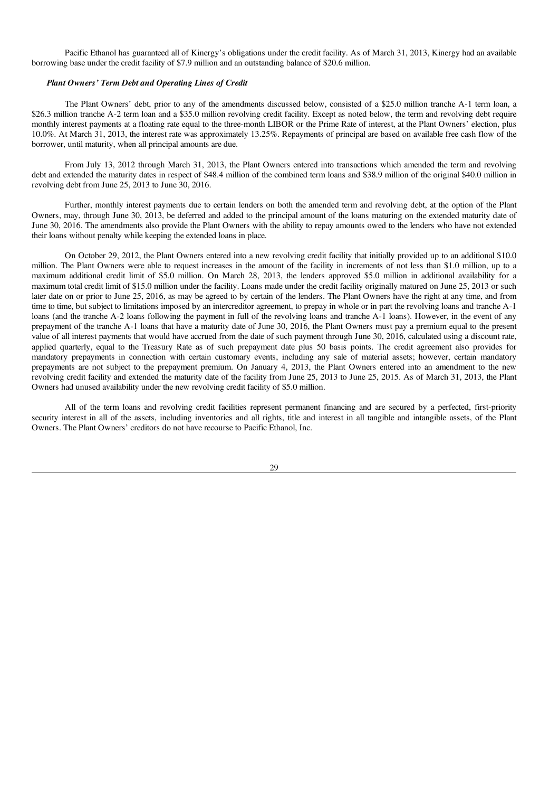Pacific Ethanol has guaranteed all of Kinergy's obligations under the credit facility. As of March 31, 2013, Kinergy had an available borrowing base under the credit facility of \$7.9 million and an outstanding balance of \$20.6 million.

#### *Plant Owners' Term Debt and Operating Lines of Credit*

The Plant Owners' debt, prior to any of the amendments discussed below, consisted of a \$25.0 million tranche A-1 term loan, a \$26.3 million tranche A-2 term loan and a \$35.0 million revolving credit facility. Except as noted below, the term and revolving debt require monthly interest payments at a floating rate equal to the three-month LIBOR or the Prime Rate of interest, at the Plant Owners' election, plus 10.0%. At March 31, 2013, the interest rate was approximately 13.25%. Repayments of principal are based on available free cash flow of the borrower, until maturity, when all principal amounts are due.

From July 13, 2012 through March 31, 2013, the Plant Owners entered into transactions which amended the term and revolving debt and extended the maturity dates in respect of \$48.4 million of the combined term loans and \$38.9 million of the original \$40.0 million in revolving debt from June 25, 2013 to June 30, 2016.

Further, monthly interest payments due to certain lenders on both the amended term and revolving debt, at the option of the Plant Owners, may, through June 30, 2013, be deferred and added to the principal amount of the loans maturing on the extended maturity date of June 30, 2016. The amendments also provide the Plant Owners with the ability to repay amounts owed to the lenders who have not extended their loans without penalty while keeping the extended loans in place.

On October 29, 2012, the Plant Owners entered into a new revolving credit facility that initially provided up to an additional \$10.0 million. The Plant Owners were able to request increases in the amount of the facility in increments of not less than \$1.0 million, up to a maximum additional credit limit of \$5.0 million. On March 28, 2013, the lenders approved \$5.0 million in additional availability for a maximum total credit limit of \$15.0 million under the facility. Loans made under the credit facility originally matured on June 25, 2013 or such later date on or prior to June 25, 2016, as may be agreed to by certain of the lenders. The Plant Owners have the right at any time, and from time to time, but subject to limitations imposed by an intercreditor agreement, to prepay in whole or in part the revolving loans and tranche A-1 loans (and the tranche A-2 loans following the payment in full of the revolving loans and tranche A-1 loans). However, in the event of any prepayment of the tranche A-1 loans that have a maturity date of June 30, 2016, the Plant Owners must pay a premium equal to the present value of all interest payments that would have accrued from the date of such payment through June 30, 2016, calculated using a discount rate, applied quarterly, equal to the Treasury Rate as of such prepayment date plus 50 basis points. The credit agreement also provides for mandatory prepayments in connection with certain customary events, including any sale of material assets; however, certain mandatory prepayments are not subject to the prepayment premium. On January 4, 2013, the Plant Owners entered into an amendment to the new revolving credit facility and extended the maturity date of the facility from June 25, 2013 to June 25, 2015. As of March 31, 2013, the Plant Owners had unused availability under the new revolving credit facility of \$5.0 million.

All of the term loans and revolving credit facilities represent permanent financing and are secured by a perfected, first-priority security interest in all of the assets, including inventories and all rights, title and interest in all tangible and intangible assets, of the Plant Owners. The Plant Owners' creditors do not have recourse to Pacific Ethanol, Inc.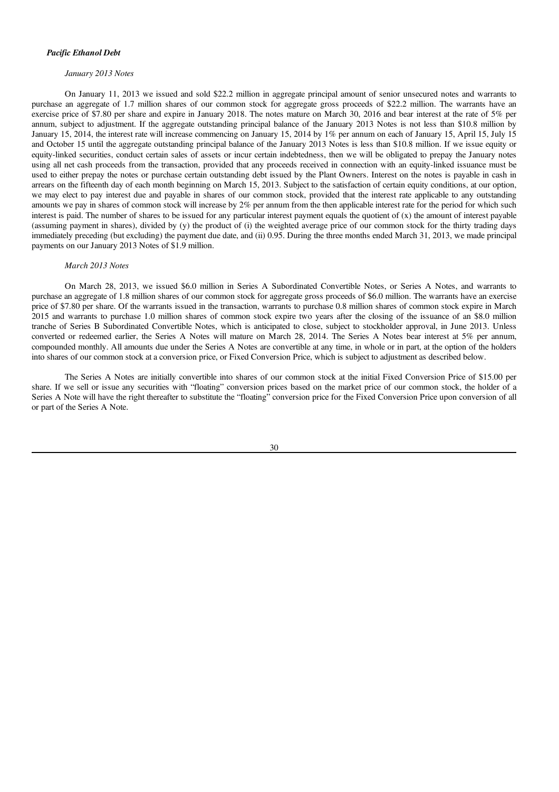## *Pacific Ethanol Debt*

#### *January 2013 Notes*

On January 11, 2013 we issued and sold \$22.2 million in aggregate principal amount of senior unsecured notes and warrants to purchase an aggregate of 1.7 million shares of our common stock for aggregate gross proceeds of \$22.2 million. The warrants have an exercise price of \$7.80 per share and expire in January 2018. The notes mature on March 30, 2016 and bear interest at the rate of 5% per annum, subject to adjustment. If the aggregate outstanding principal balance of the January 2013 Notes is not less than \$10.8 million by January 15, 2014, the interest rate will increase commencing on January 15, 2014 by 1% per annum on each of January 15, April 15, July 15 and October 15 until the aggregate outstanding principal balance of the January 2013 Notes is less than \$10.8 million. If we issue equity or equity-linked securities, conduct certain sales of assets or incur certain indebtedness, then we will be obligated to prepay the January notes using all net cash proceeds from the transaction, provided that any proceeds received in connection with an equity-linked issuance must be used to either prepay the notes or purchase certain outstanding debt issued by the Plant Owners. Interest on the notes is payable in cash in arrears on the fifteenth day of each month beginning on March 15, 2013. Subject to the satisfaction of certain equity conditions, at our option, we may elect to pay interest due and payable in shares of our common stock, provided that the interest rate applicable to any outstanding amounts we pay in shares of common stock will increase by 2% per annum from the then applicable interest rate for the period for which such interest is paid. The number of shares to be issued for any particular interest payment equals the quotient of (x) the amount of interest payable (assuming payment in shares), divided by (y) the product of (i) the weighted average price of our common stock for the thirty trading days immediately preceding (but excluding) the payment due date, and (ii) 0.95. During the three months ended March 31, 2013, we made principal payments on our January 2013 Notes of \$1.9 million.

#### *March 2013 Notes*

On March 28, 2013, we issued \$6.0 million in Series A Subordinated Convertible Notes, or Series A Notes, and warrants to purchase an aggregate of 1.8 million shares of our common stock for aggregate gross proceeds of \$6.0 million. The warrants have an exercise price of \$7.80 per share. Of the warrants issued in the transaction, warrants to purchase 0.8 million shares of common stock expire in March 2015 and warrants to purchase 1.0 million shares of common stock expire two years after the closing of the issuance of an \$8.0 million tranche of Series B Subordinated Convertible Notes, which is anticipated to close, subject to stockholder approval, in June 2013. Unless converted or redeemed earlier, the Series A Notes will mature on March 28, 2014. The Series A Notes bear interest at 5% per annum, compounded monthly. All amounts due under the Series A Notes are convertible at any time, in whole or in part, at the option of the holders into shares of our common stock at a conversion price, or Fixed Conversion Price, which is subject to adjustment as described below.

The Series A Notes are initially convertible into shares of our common stock at the initial Fixed Conversion Price of \$15.00 per share. If we sell or issue any securities with "floating" conversion prices based on the market price of our common stock, the holder of a Series A Note will have the right thereafter to substitute the "floating" conversion price for the Fixed Conversion Price upon conversion of all or part of the Series A Note.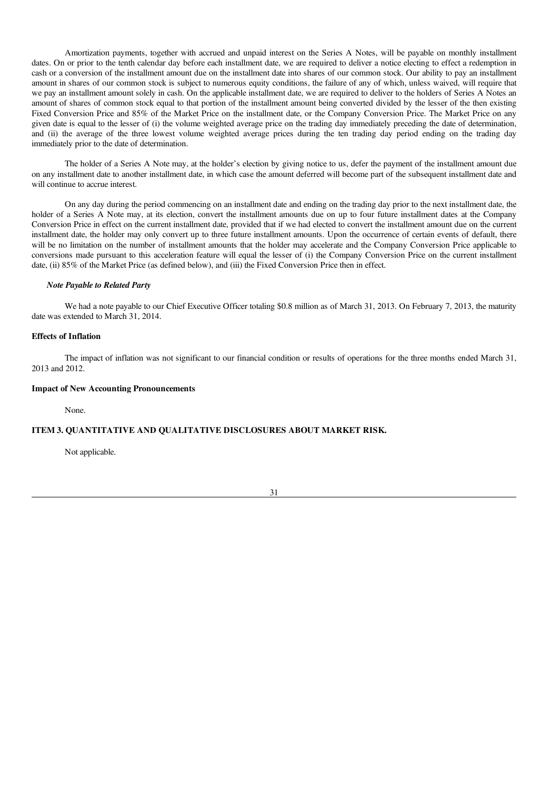Amortization payments, together with accrued and unpaid interest on the Series A Notes, will be payable on monthly installment dates. On or prior to the tenth calendar day before each installment date, we are required to deliver a notice electing to effect a redemption in cash or a conversion of the installment amount due on the installment date into shares of our common stock. Our ability to pay an installment amount in shares of our common stock is subject to numerous equity conditions, the failure of any of which, unless waived, will require that we pay an installment amount solely in cash. On the applicable installment date, we are required to deliver to the holders of Series A Notes an amount of shares of common stock equal to that portion of the installment amount being converted divided by the lesser of the then existing Fixed Conversion Price and 85% of the Market Price on the installment date, or the Company Conversion Price. The Market Price on any given date is equal to the lesser of (i) the volume weighted average price on the trading day immediately preceding the date of determination, and (ii) the average of the three lowest volume weighted average prices during the ten trading day period ending on the trading day immediately prior to the date of determination.

The holder of a Series A Note may, at the holder's election by giving notice to us, defer the payment of the installment amount due on any installment date to another installment date, in which case the amount deferred will become part of the subsequent installment date and will continue to accrue interest.

On any day during the period commencing on an installment date and ending on the trading day prior to the next installment date, the holder of a Series A Note may, at its election, convert the installment amounts due on up to four future installment dates at the Company Conversion Price in effect on the current installment date, provided that if we had elected to convert the installment amount due on the current installment date, the holder may only convert up to three future installment amounts. Upon the occurrence of certain events of default, there will be no limitation on the number of installment amounts that the holder may accelerate and the Company Conversion Price applicable to conversions made pursuant to this acceleration feature will equal the lesser of (i) the Company Conversion Price on the current installment date, (ii) 85% of the Market Price (as defined below), and (iii) the Fixed Conversion Price then in effect.

#### *Note Payable to Related Party*

We had a note payable to our Chief Executive Officer totaling \$0.8 million as of March 31, 2013. On February 7, 2013, the maturity date was extended to March 31, 2014.

## Effects of Inflation

The impact of inflation was not significant to our financial condition or results of operations for the three months ended March 31, 2013 and 2012.

### Impact of New Accounting Pronouncements

None.

### ITEM 3. QUANTITATIVE AND QUALITATIVE DISCLOSURES ABOUT MARKET RISK.

Not applicable.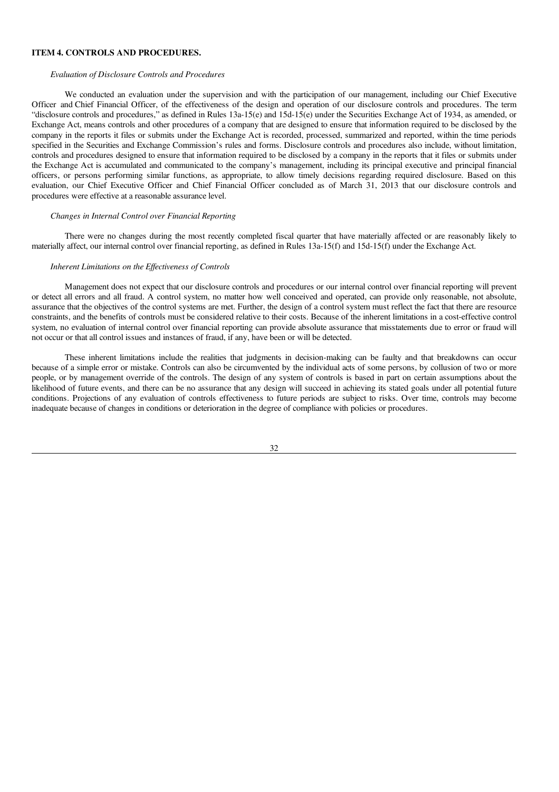#### ITEM 4. CONTROLS AND PROCEDURES.

#### *Evaluation of Disclosure Controls and Procedures*

We conducted an evaluation under the supervision and with the participation of our management, including our Chief Executive Officer and Chief Financial Officer, of the effectiveness of the design and operation of our disclosure controls and procedures. The term "disclosure controls and procedures," as defined in Rules 13a-15(e) and 15d-15(e) under the Securities Exchange Act of 1934, as amended, or Exchange Act, means controls and other procedures of a company that are designed to ensure that information required to be disclosed by the company in the reports it files or submits under the Exchange Act is recorded, processed, summarized and reported, within the time periods specified in the Securities and Exchange Commission's rules and forms. Disclosure controls and procedures also include, without limitation, controls and procedures designed to ensure that information required to be disclosed by a company in the reports that it files or submits under the Exchange Act is accumulated and communicated to the company's management, including its principal executive and principal financial officers, or persons performing similar functions, as appropriate, to allow timely decisions regarding required disclosure. Based on this evaluation, our Chief Executive Officer and Chief Financial Officer concluded as of March 31, 2013 that our disclosure controls and procedures were effective at a reasonable assurance level.

#### *Changes in Internal Control over Financial Reporting*

There were no changes during the most recently completed fiscal quarter that have materially affected or are reasonably likely to materially affect, our internal control over financial reporting, as defined in Rules 13a-15(f) and 15d-15(f) under the Exchange Act.

#### *Inherent Limitations on the Ef ectiveness of Controls*

Management does not expect that our disclosure controls and procedures or our internal control over financial reporting will prevent or detect all errors and all fraud. A control system, no matter how well conceived and operated, can provide only reasonable, not absolute, assurance that the objectives of the control systems are met. Further, the design of a control system must reflect the fact that there are resource constraints, and the benefits of controls must be considered relative to their costs. Because of the inherent limitations in a cost-effective control system, no evaluation of internal control over financial reporting can provide absolute assurance that misstatements due to error or fraud will not occur or that all control issues and instances of fraud, if any, have been or will be detected.

These inherent limitations include the realities that judgments in decision-making can be faulty and that breakdowns can occur because of a simple error or mistake. Controls can also be circumvented by the individual acts of some persons, by collusion of two or more people, or by management override of the controls. The design of any system of controls is based in part on certain assumptions about the likelihood of future events, and there can be no assurance that any design will succeed in achieving its stated goals under all potential future conditions. Projections of any evaluation of controls effectiveness to future periods are subject to risks. Over time, controls may become inadequate because of changes in conditions or deterioration in the degree of compliance with policies or procedures.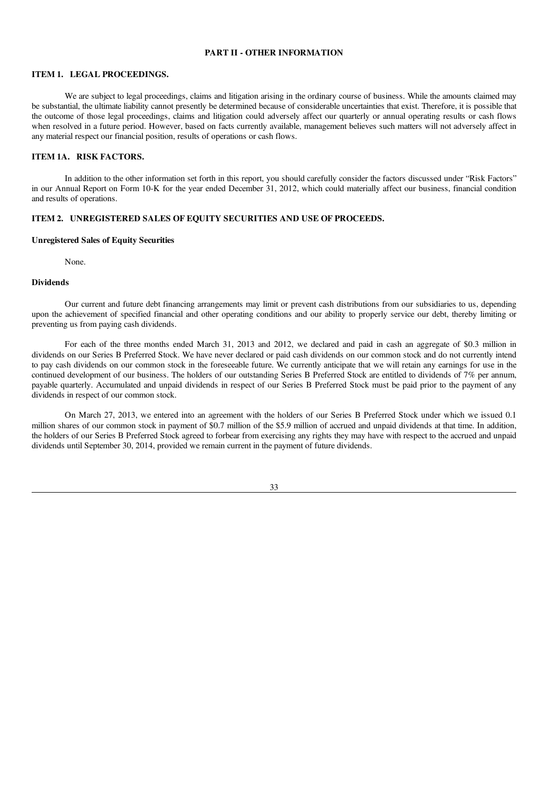## PART II - OTHER INFORMATION

#### ITEM 1. LEGAL PROCEEDINGS.

We are subject to legal proceedings, claims and litigation arising in the ordinary course of business. While the amounts claimed may be substantial, the ultimate liability cannot presently be determined because of considerable uncertainties that exist. Therefore, it is possible that the outcome of those legal proceedings, claims and litigation could adversely affect our quarterly or annual operating results or cash flows when resolved in a future period. However, based on facts currently available, management believes such matters will not adversely affect in any material respect our financial position, results of operations or cash flows.

## ITEM 1A. RISK FACTORS.

In addition to the other information set forth in this report, you should carefully consider the factors discussed under "Risk Factors" in our Annual Report on Form 10-K for the year ended December 31, 2012, which could materially affect our business, financial condition and results of operations.

## ITEM 2. UNREGISTERED SALES OF EQUITY SECURITIES AND USE OF PROCEEDS.

#### Unregistered Sales of Equity Securities

None.

## Dividends

Our current and future debt financing arrangements may limit or prevent cash distributions from our subsidiaries to us, depending upon the achievement of specified financial and other operating conditions and our ability to properly service our debt, thereby limiting or preventing us from paying cash dividends.

For each of the three months ended March 31, 2013 and 2012, we declared and paid in cash an aggregate of \$0.3 million in dividends on our Series B Preferred Stock. We have never declared or paid cash dividends on our common stock and do not currently intend to pay cash dividends on our common stock in the foreseeable future. We currently anticipate that we will retain any earnings for use in the continued development of our business. The holders of our outstanding Series B Preferred Stock are entitled to dividends of 7% per annum, payable quarterly. Accumulated and unpaid dividends in respect of our Series B Preferred Stock must be paid prior to the payment of any dividends in respect of our common stock.

On March 27, 2013, we entered into an agreement with the holders of our Series B Preferred Stock under which we issued 0.1 million shares of our common stock in payment of \$0.7 million of the \$5.9 million of accrued and unpaid dividends at that time. In addition, the holders of our Series B Preferred Stock agreed to forbear from exercising any rights they may have with respect to the accrued and unpaid dividends until September 30, 2014, provided we remain current in the payment of future dividends.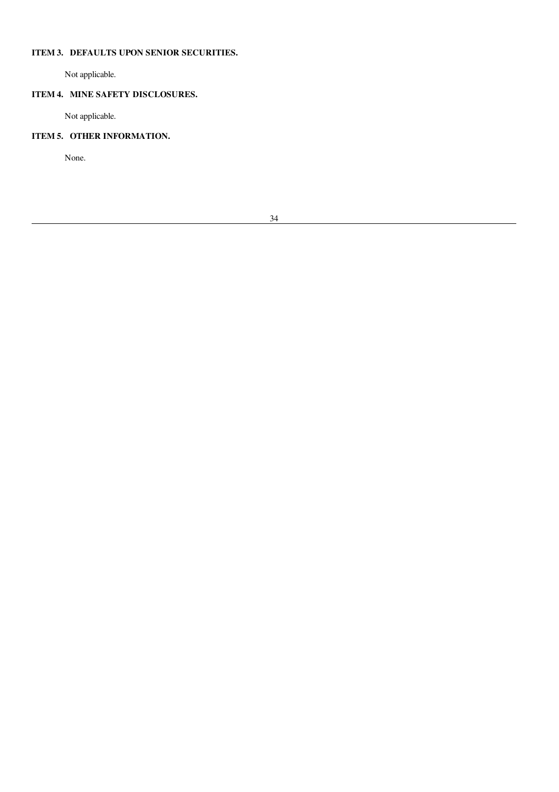# ITEM 3. DEFAULTS UPON SENIOR SECURITIES.

Not applicable.

# ITEM 4. MINE SAFETY DISCLOSURES.

Not applicable.

# ITEM 5. OTHER INFORMATION.

None.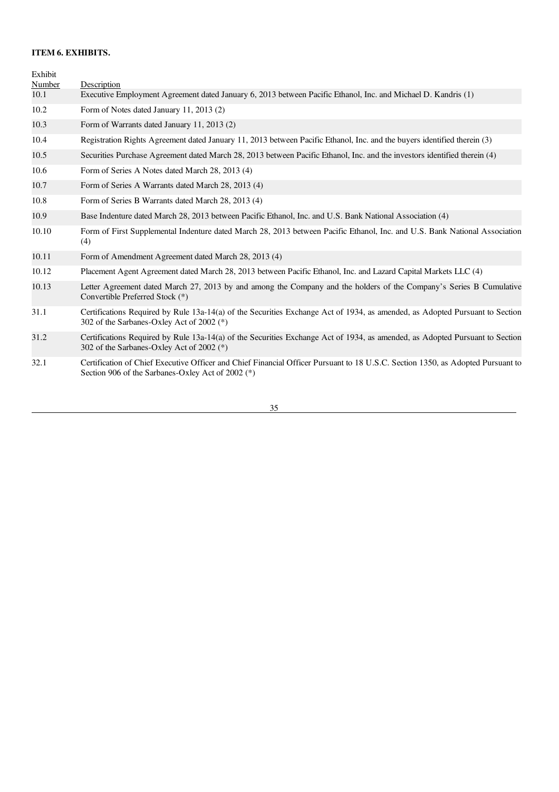# ITEM 6. EXHIBITS.

| Exhibit<br>Number | Description                                                                                                                                                                          |
|-------------------|--------------------------------------------------------------------------------------------------------------------------------------------------------------------------------------|
| 10.1              | Executive Employment Agreement dated January 6, 2013 between Pacific Ethanol, Inc. and Michael D. Kandris (1)                                                                        |
| 10.2              | Form of Notes dated January 11, 2013 (2)                                                                                                                                             |
| 10.3              | Form of Warrants dated January 11, 2013 (2)                                                                                                                                          |
| 10.4              | Registration Rights Agreement dated January 11, 2013 between Pacific Ethanol, Inc. and the buyers identified therein (3)                                                             |
| 10.5              | Securities Purchase Agreement dated March 28, 2013 between Pacific Ethanol, Inc. and the investors identified therein (4)                                                            |
| 10.6              | Form of Series A Notes dated March 28, 2013 (4)                                                                                                                                      |
| 10.7              | Form of Series A Warrants dated March 28, 2013 (4)                                                                                                                                   |
| 10.8              | Form of Series B Warrants dated March 28, 2013 (4)                                                                                                                                   |
| 10.9              | Base Indenture dated March 28, 2013 between Pacific Ethanol, Inc. and U.S. Bank National Association (4)                                                                             |
| 10.10             | Form of First Supplemental Indenture dated March 28, 2013 between Pacific Ethanol, Inc. and U.S. Bank National Association<br>(4)                                                    |
| 10.11             | Form of Amendment Agreement dated March 28, 2013 (4)                                                                                                                                 |
| 10.12             | Placement Agent Agreement dated March 28, 2013 between Pacific Ethanol, Inc. and Lazard Capital Markets LLC (4)                                                                      |
| 10.13             | Letter Agreement dated March 27, 2013 by and among the Company and the holders of the Company's Series B Cumulative<br>Convertible Preferred Stock (*)                               |
| 31.1              | Certifications Required by Rule 13a-14(a) of the Securities Exchange Act of 1934, as amended, as Adopted Pursuant to Section<br>302 of the Sarbanes-Oxley Act of $2002$ (*)          |
| 31.2              | Certifications Required by Rule 13a-14(a) of the Securities Exchange Act of 1934, as amended, as Adopted Pursuant to Section<br>302 of the Sarbanes-Oxley Act of 2002 (*)            |
| 32.1              | Certification of Chief Executive Officer and Chief Financial Officer Pursuant to 18 U.S.C. Section 1350, as Adopted Pursuant to<br>Section 906 of the Sarbanes-Oxley Act of 2002 (*) |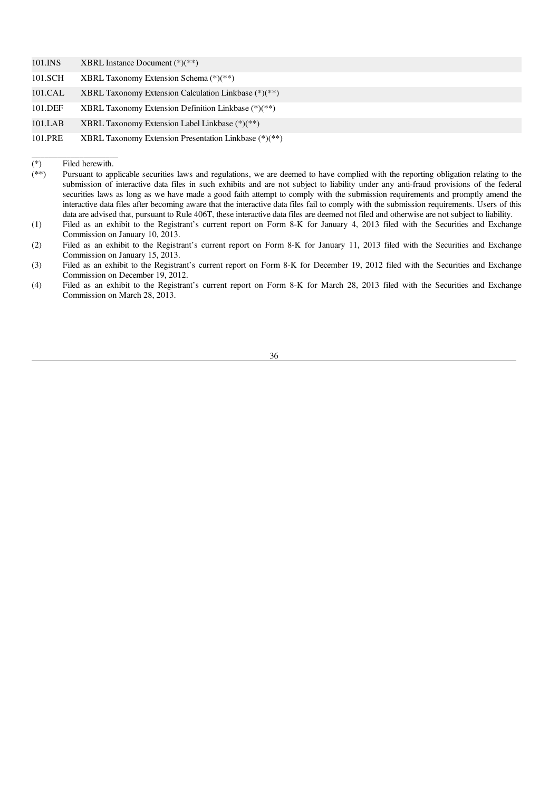| 101.INS<br>XBRL Instance Document $(*)$ (**) |  |
|----------------------------------------------|--|
|----------------------------------------------|--|

- 101.SCH XBRL Taxonomy Extension Schema (\*)(\*\*)
- 101.CAL XBRL Taxonomy Extension Calculation Linkbase (\*)(\*\*)
- 101.DEF XBRL Taxonomy Extension Definition Linkbase (\*)(\*\*)
- 101.LAB XBRL Taxonomy Extension Label Linkbase (\*)(\*\*)
- 101.PRE XBRL Taxonomy Extension Presentation Linkbase (\*)(\*\*)

- (\*\*) Pursuant to applicable securities laws and regulations, we are deemed to have complied with the reporting obligation relating to the submission of interactive data files in such exhibits and are not subject to liability under any anti-fraud provisions of the federal securities laws as long as we have made a good faith attempt to comply with the submission requirements and promptly amend the interactive data files after becoming aware that the interactive data files fail to comply with the submission requirements. Users of this data are advised that, pursuant to Rule 406T, these interactive data files are deemed not filed and otherwise are not subject to liability.
- (1) Filed as an exhibit to the Registrant's current report on Form 8-K for January 4, 2013 filed with the Securities and Exchange Commission on January 10, 2013.
- (2) Filed as an exhibit to the Registrant's current report on Form 8-K for January 11, 2013 filed with the Securities and Exchange Commission on January 15, 2013.
- (3) Filed as an exhibit to the Registrant's current report on Form 8-K for December 19, 2012 filed with the Securities and Exchange Commission on December 19, 2012.
- (4) Filed as an exhibit to the Registrant's current report on Form 8-K for March 28, 2013 filed with the Securities and Exchange Commission on March 28, 2013.

\_\_\_\_\_\_\_\_\_\_\_\_\_\_\_\_\_\_\_\_ (\*) Filed herewith.

<sup>36</sup>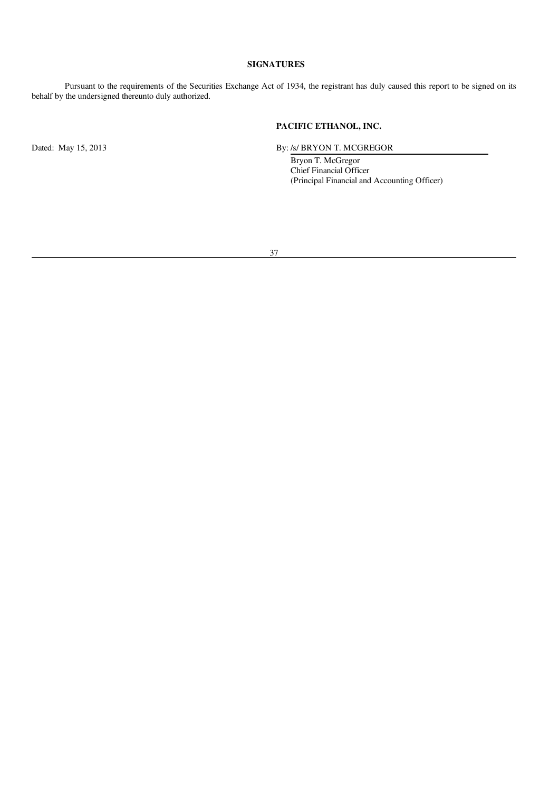### SIGNATURES

Pursuant to the requirements of the Securities Exchange Act of 1934, the registrant has duly caused this report to be signed on its behalf by the undersigned thereunto duly authorized.

# PACIFIC ETHANOL, INC.

Dated: May 15, 2013 By: /s/ BRYON T. MCGREGOR

Bryon T. McGregor Chief Financial Officer (Principal Financial and Accounting Officer)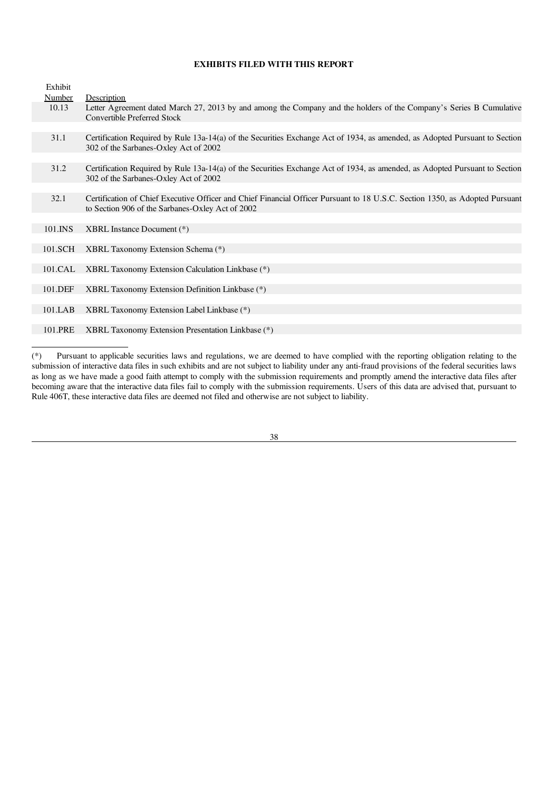## EXHIBITS FILED WITH THIS REPORT

| Exhibit |                                                                                                                                                                                  |
|---------|----------------------------------------------------------------------------------------------------------------------------------------------------------------------------------|
| Number  | Description                                                                                                                                                                      |
| 10.13   | Letter Agreement dated March 27, 2013 by and among the Company and the holders of the Company's Series B Cumulative<br><b>Convertible Preferred Stock</b>                        |
|         |                                                                                                                                                                                  |
| 31.1    | Certification Required by Rule 13a-14(a) of the Securities Exchange Act of 1934, as amended, as Adopted Pursuant to Section<br>302 of the Sarbanes-Oxley Act of 2002             |
|         |                                                                                                                                                                                  |
| 31.2    | Certification Required by Rule 13a-14(a) of the Securities Exchange Act of 1934, as amended, as Adopted Pursuant to Section<br>302 of the Sarbanes-Oxley Act of 2002             |
|         |                                                                                                                                                                                  |
| 32.1    | Certification of Chief Executive Officer and Chief Financial Officer Pursuant to 18 U.S.C. Section 1350, as Adopted Pursuant<br>to Section 906 of the Sarbanes-Oxley Act of 2002 |
|         |                                                                                                                                                                                  |
| 101.INS | XBRL Instance Document (*)                                                                                                                                                       |
|         |                                                                                                                                                                                  |
| 101.SCH | XBRL Taxonomy Extension Schema (*)                                                                                                                                               |
|         |                                                                                                                                                                                  |
| 101.CAL | XBRL Taxonomy Extension Calculation Linkbase (*)                                                                                                                                 |
| 101.DEF | XBRL Taxonomy Extension Definition Linkbase (*)                                                                                                                                  |
|         |                                                                                                                                                                                  |
| 101.LAB | XBRL Taxonomy Extension Label Linkbase (*)                                                                                                                                       |
|         |                                                                                                                                                                                  |
| 101.PRE | XBRL Taxonomy Extension Presentation Linkbase (*)                                                                                                                                |

(\*) Pursuant to applicable securities laws and regulations, we are deemed to have complied with the reporting obligation relating to the submission of interactive data files in such exhibits and are not subject to liability under any anti-fraud provisions of the federal securities laws as long as we have made a good faith attempt to comply with the submission requirements and promptly amend the interactive data files after becoming aware that the interactive data files fail to comply with the submission requirements. Users of this data are advised that, pursuant to Rule 406T, these interactive data files are deemed not filed and otherwise are not subject to liability.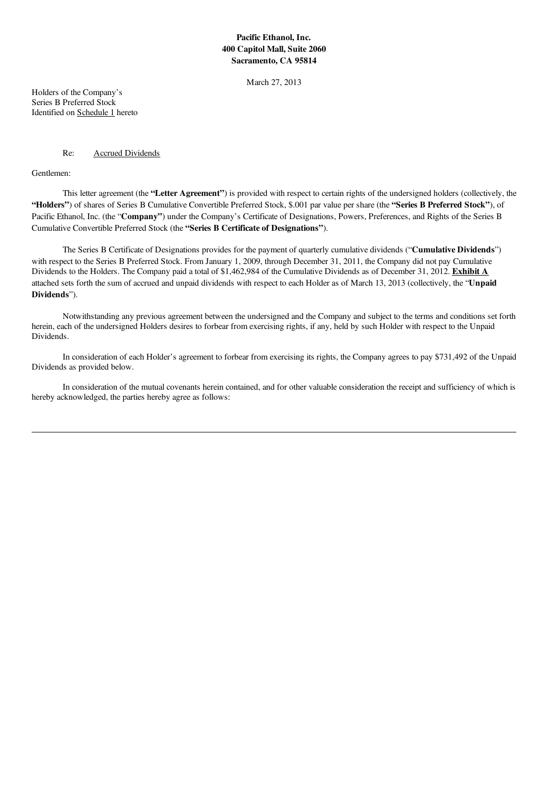# Pacific Ethanol, Inc. 400 Capitol Mall, Suite 2060 Sacramento, CA 95814

March 27, 2013

Holders of the Company's Series B Preferred Stock Identified on Schedule 1 hereto

#### Re: Accrued Dividends

Gentlemen:

This letter agreement (the "Letter Agreement") is provided with respect to certain rights of the undersigned holders (collectively, the "Holders") of shares of Series B Cumulative Convertible Preferred Stock, \$.001 par value per share (the "Series B Preferred Stock"), of Pacific Ethanol, Inc. (the "Company") under the Company's Certificate of Designations, Powers, Preferences, and Rights of the Series B Cumulative Convertible Preferred Stock (the "Series B Certificate of Designations").

The Series B Certificate of Designations provides for the payment of quarterly cumulative dividends ("Cumulative Dividends") with respect to the Series B Preferred Stock. From January 1, 2009, through December 31, 2011, the Company did not pay Cumulative Dividends to the Holders. The Company paid a total of \$1,462,984 of the Cumulative Dividends as of December 31, 2012. Exhibit A attached sets forth the sum of accrued and unpaid dividends with respect to each Holder as of March 13, 2013 (collectively, the "Unpaid Dividends").

Notwithstanding any previous agreement between the undersigned and the Company and subject to the terms and conditions set forth herein, each of the undersigned Holders desires to forbear from exercising rights, if any, held by such Holder with respect to the Unpaid Dividends.

In consideration of each Holder's agreement to forbear from exercising its rights, the Company agrees to pay \$731,492 of the Unpaid Dividends as provided below.

In consideration of the mutual covenants herein contained, and for other valuable consideration the receipt and sufficiency of which is hereby acknowledged, the parties hereby agree as follows: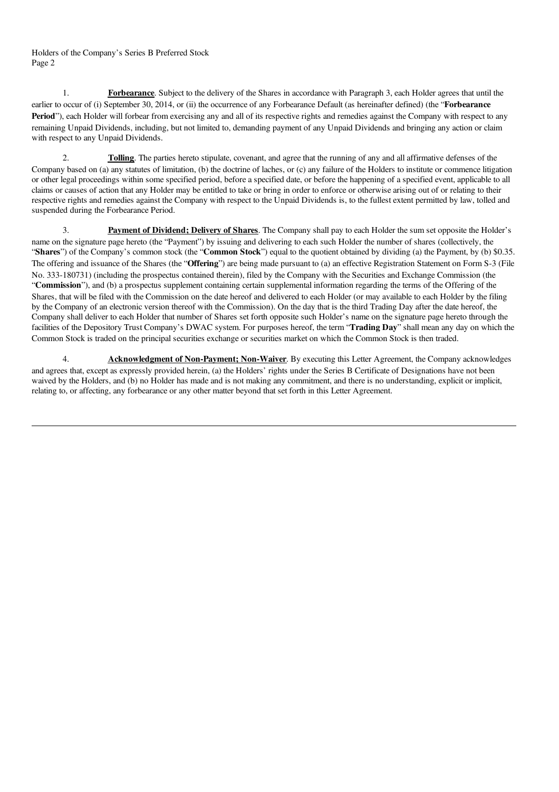1. **Forbearance**. Subject to the delivery of the Shares in accordance with Paragraph 3, each Holder agrees that until the earlier to occur of (i) September 30, 2014, or (ii) the occurrence of any Forbearance Default (as hereinafter defined) (the "Forbearance Period"), each Holder will forbear from exercising any and all of its respective rights and remedies against the Company with respect to any remaining Unpaid Dividends, including, but not limited to, demanding payment of any Unpaid Dividends and bringing any action or claim with respect to any Unpaid Dividends.

2. Tolling. The parties hereto stipulate, covenant, and agree that the running of any and all affirmative defenses of the Company based on (a) any statutes of limitation, (b) the doctrine of laches, or (c) any failure of the Holders to institute or commence litigation or other legal proceedings within some specified period, before a specified date, or before the happening of a specified event, applicable to all claims or causes of action that any Holder may be entitled to take or bring in order to enforce or otherwise arising out of or relating to their respective rights and remedies against the Company with respect to the Unpaid Dividends is, to the fullest extent permitted by law, tolled and suspended during the Forbearance Period.

3. Payment of Dividend; Delivery of Shares. The Company shall pay to each Holder the sum set opposite the Holder's name on the signature page hereto (the "Payment") by issuing and delivering to each such Holder the number of shares (collectively, the "Shares") of the Company's common stock (the "Common Stock") equal to the quotient obtained by dividing (a) the Payment, by (b) \$0.35. The offering and issuance of the Shares (the "Offering") are being made pursuant to (a) an effective Registration Statement on Form S-3 (File No. 333-180731) (including the prospectus contained therein), filed by the Company with the Securities and Exchange Commission (the "Commission"), and (b) a prospectus supplement containing certain supplemental information regarding the terms of the Offering of the Shares, that will be filed with the Commission on the date hereof and delivered to each Holder (or may available to each Holder by the filing by the Company of an electronic version thereof with the Commission). On the day that is the third Trading Day after the date hereof, the Company shall deliver to each Holder that number of Shares set forth opposite such Holder's name on the signature page hereto through the facilities of the Depository Trust Company's DWAC system. For purposes hereof, the term "**Trading Day**" shall mean any day on which the Common Stock is traded on the principal securities exchange or securities market on which the Common Stock is then traded.

Acknowledgment of Non-Payment; Non-Waiver. By executing this Letter Agreement, the Company acknowledges and agrees that, except as expressly provided herein, (a) the Holders' rights under the Series B Certificate of Designations have not been waived by the Holders, and (b) no Holder has made and is not making any commitment, and there is no understanding, explicit or implicit. relating to, or affecting, any forbearance or any other matter beyond that set forth in this Letter Agreement.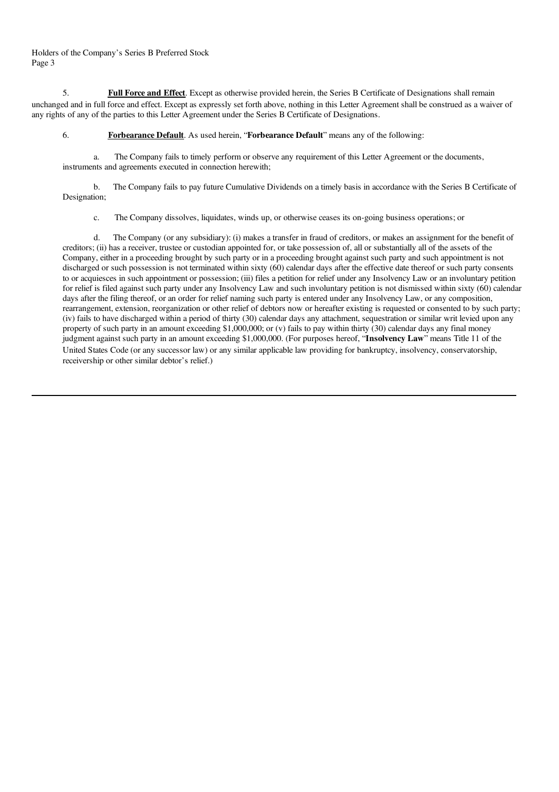5. Full Force and Effect. Except as otherwise provided herein, the Series B Certificate of Designations shall remain unchanged and in full force and effect. Except as expressly set forth above, nothing in this Letter Agreement shall be construed as a waiver of any rights of any of the parties to this Letter Agreement under the Series B Certificate of Designations.

### 6. Forbearance Default. As used herein, "Forbearance Default" means any of the following:

a. The Company fails to timely perform or observe any requirement of this Letter Agreement or the documents, instruments and agreements executed in connection herewith;

b. The Company fails to pay future Cumulative Dividends on a timely basis in accordance with the Series B Certificate of Designation;

c. The Company dissolves, liquidates, winds up, or otherwise ceases its on-going business operations; or

d. The Company (or any subsidiary): (i) makes a transfer in fraud of creditors, or makes an assignment for the benefit of creditors; (ii) has a receiver, trustee or custodian appointed for, or take possession of, all or substantially all of the assets of the Company, either in a proceeding brought by such party or in a proceeding brought against such party and such appointment is not discharged or such possession is not terminated within sixty (60) calendar days after the effective date thereof or such party consents to or acquiesces in such appointment or possession; (iii) files a petition for relief under any Insolvency Law or an involuntary petition for relief is filed against such party under any Insolvency Law and such involuntary petition is not dismissed within sixty (60) calendar days after the filing thereof, or an order for relief naming such party is entered under any Insolvency Law, or any composition, rearrangement, extension, reorganization or other relief of debtors now or hereafter existing is requested or consented to by such party; (iv) fails to have discharged within a period of thirty (30) calendar days any attachment, sequestration or similar writ levied upon any property of such party in an amount exceeding \$1,000,000; or (v) fails to pay within thirty (30) calendar days any final money judgment against such party in an amount exceeding \$1,000,000. (For purposes hereof, "Insolvency Law" means Title 11 of the United States Code (or any successor law) or any similar applicable law providing for bankruptcy, insolvency, conservatorship, receivership or other similar debtor's relief.)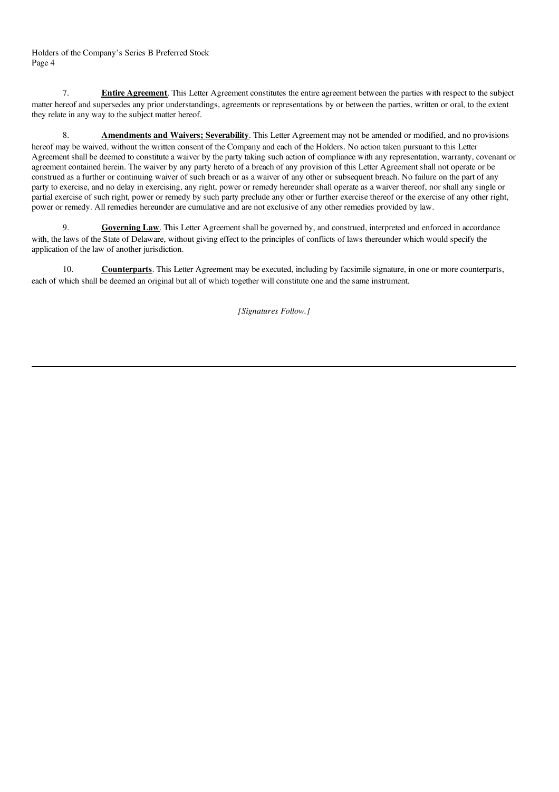7. **Entire Agreement**. This Letter Agreement constitutes the entire agreement between the parties with respect to the subject matter hereof and supersedes any prior understandings, agreements or representations by or between the parties, written or oral, to the extent they relate in any way to the subject matter hereof.

8. **Amendments and Waivers; Severability**. This Letter Agreement may not be amended or modified, and no provisions hereof may be waived, without the written consent of the Company and each of the Holders. No action taken pursuant to this Letter Agreement shall be deemed to constitute a waiver by the party taking such action of compliance with any representation, warranty, covenant or agreement contained herein. The waiver by any party hereto of a breach of any provision of this Letter Agreement shall not operate or be construed as a further or continuing waiver of such breach or as a waiver of any other or subsequent breach. No failure on the part of any party to exercise, and no delay in exercising, any right, power or remedy hereunder shall operate as a waiver thereof, nor shall any single or partial exercise of such right, power or remedy by such party preclude any other or further exercise thereof or the exercise of any other right, power or remedy. All remedies hereunder are cumulative and are not exclusive of any other remedies provided by law.

9. Governing Law. This Letter Agreement shall be governed by, and construed, interpreted and enforced in accordance with, the laws of the State of Delaware, without giving effect to the principles of conflicts of laws thereunder which would specify the application of the law of another jurisdiction.

10. Counterparts. This Letter Agreement may be executed, including by facsimile signature, in one or more counterparts, each of which shall be deemed an original but all of which together will constitute one and the same instrument.

*[Signatures Follow.]*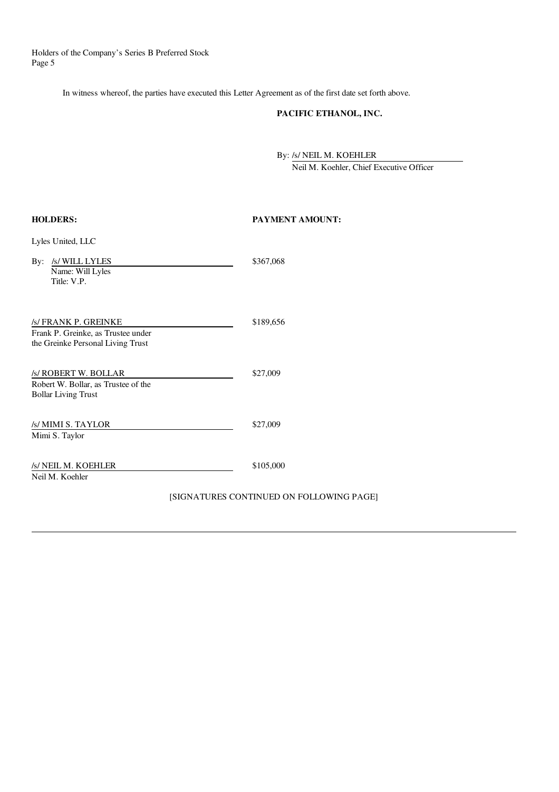In witness whereof, the parties have executed this Letter Agreement as of the first date set forth above.

# PACIFIC ETHANOL, INC.

By: /s/ NEIL M. KOEHLER

Neil M. Koehler, Chief Executive Officer

| Lyles United, LLC                                                                               |           |
|-------------------------------------------------------------------------------------------------|-----------|
| /s/ WILL LYLES<br>By:<br>Name: Will Lyles<br>Title: V.P.                                        | \$367,068 |
| /s/ FRANK P. GREINKE<br>Frank P. Greinke, as Trustee under<br>the Greinke Personal Living Trust | \$189,656 |
| /s/ ROBERT W. BOLLAR<br>Robert W. Bollar, as Trustee of the<br><b>Bollar Living Trust</b>       | \$27,009  |
| /s/ MIMI S. TAYLOR<br>Mimi S. Taylor                                                            | \$27,009  |
| /s/ NEIL M. KOEHLER<br>Neil M. Koehler                                                          | \$105,000 |

[SIGNATURES CONTINUED ON FOLLOWING PAGE]

## HOLDERS: PAYMENT AMOUNT: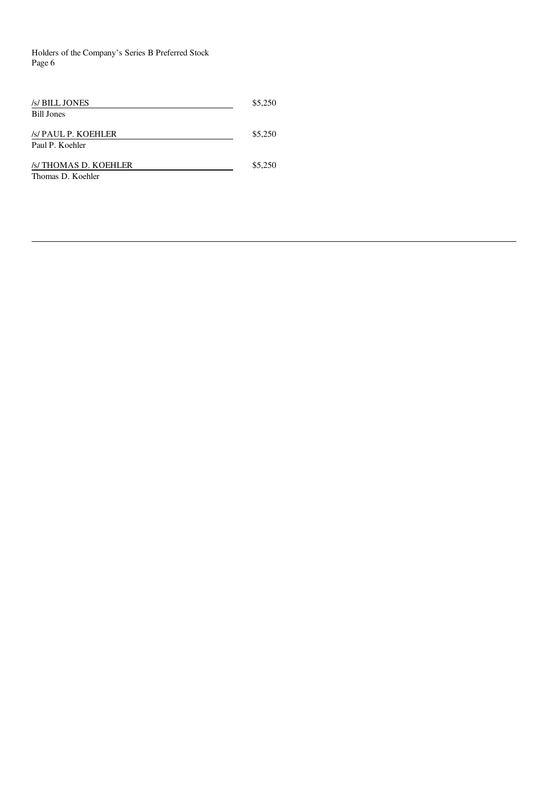| /s/ BILL JONES       | \$5,250 |
|----------------------|---------|
| Bill Jones           |         |
| /s/ PAUL P. KOEHLER  | \$5,250 |
| Paul P. Koehler      |         |
| /s/THOMAS D. KOEHLER | \$5,250 |
| Thomas D. Koehler    |         |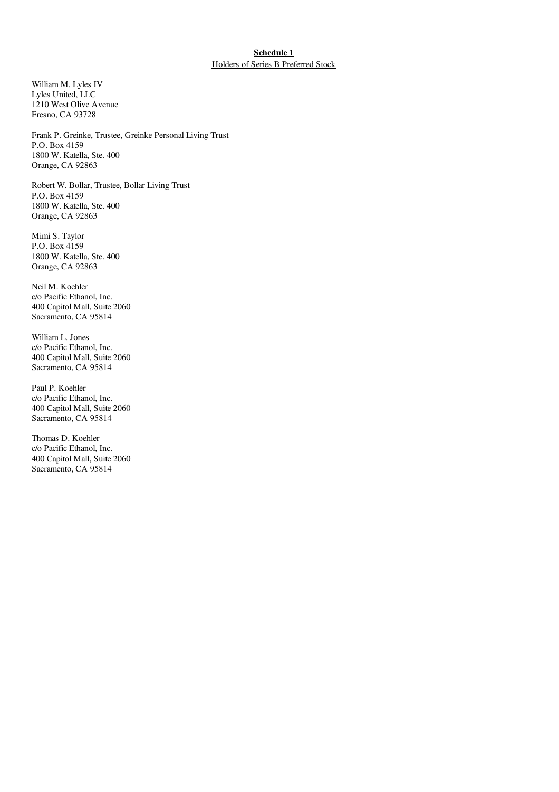## Schedule 1 Holders of Series B Preferred Stock

William M. Lyles IV Lyles United, LLC 1210 West Olive Avenue Fresno, CA 93728

Frank P. Greinke, Trustee, Greinke Personal Living Trust P.O. Box 4159 1800 W. Katella, Ste. 400 Orange, CA 92863

Robert W. Bollar, Trustee, Bollar Living Trust P.O. Box 4159 1800 W. Katella, Ste. 400 Orange, CA 92863

Mimi S. Taylor P.O. Box 4159 1800 W. Katella, Ste. 400 Orange, CA 92863

Neil M. Koehler c/o Pacific Ethanol, Inc. 400 Capitol Mall, Suite 2060 Sacramento, CA 95814

William L. Jones c/o Pacific Ethanol, Inc. 400 Capitol Mall, Suite 2060 Sacramento, CA 95814

Paul P. Koehler c/o Pacific Ethanol, Inc. 400 Capitol Mall, Suite 2060 Sacramento, CA 95814

Thomas D. Koehler c/o Pacific Ethanol, Inc. 400 Capitol Mall, Suite 2060 Sacramento, CA 95814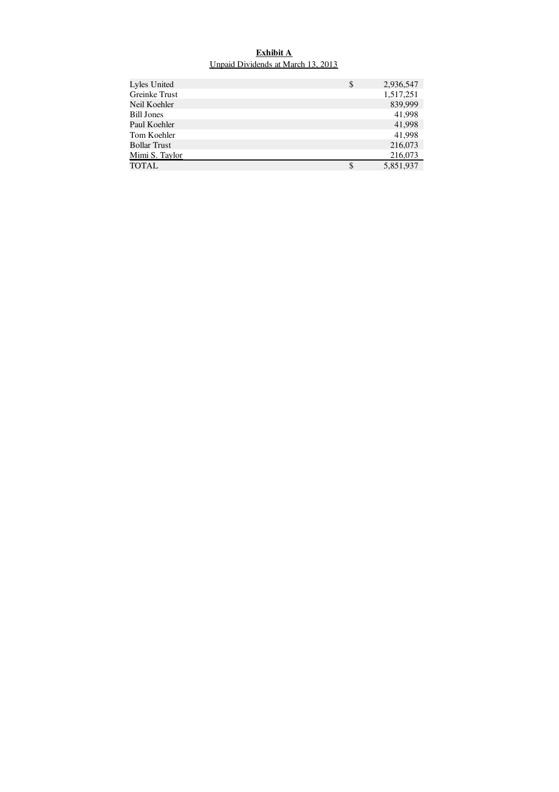### <u>Exhibit A</u> Unpaid Dividends at March 13, 2013

| Lyles United         | \$<br>2,936,547 |
|----------------------|-----------------|
| <b>Greinke Trust</b> | 1,517,251       |
| Neil Koehler         | 839,999         |
| <b>Bill Jones</b>    | 41,998          |
| Paul Koehler         | 41,998          |
| Tom Koehler          | 41,998          |
| <b>Bollar Trust</b>  | 216,073         |
| Mimi S. Taylor       | 216,073         |
| <b>TOTAL</b>         | 5,851,937       |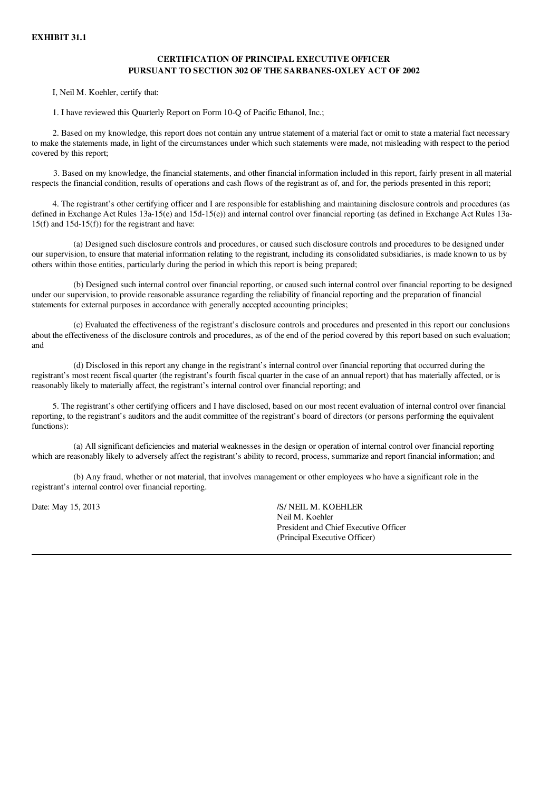# CERTIFICATION OF PRINCIPAL EXECUTIVE OFFICER PURSUANT TO SECTION 302 OF THE SARBANES-OXLEY ACT OF 2002

I, Neil M. Koehler, certify that:

1. I have reviewed this Quarterly Report on Form 10-Q of Pacific Ethanol, Inc.;

2. Based on my knowledge, this report does not contain any untrue statement of a material fact or omit to state a material fact necessary to make the statements made, in light of the circumstances under which such statements were made, not misleading with respect to the period covered by this report;

3. Based on my knowledge, the financial statements, and other financial information included in this report, fairly present in all material respects the financial condition, results of operations and cash flows of the registrant as of, and for, the periods presented in this report;

4. The registrant's other certifying officer and I are responsible for establishing and maintaining disclosure controls and procedures (as defined in Exchange Act Rules 13a-15(e) and 15d-15(e)) and internal control over financial reporting (as defined in Exchange Act Rules 13a-15(f) and 15d-15(f)) for the registrant and have:

(a) Designed such disclosure controls and procedures, or caused such disclosure controls and procedures to be designed under our supervision, to ensure that material information relating to the registrant, including its consolidated subsidiaries, is made known to us by others within those entities, particularly during the period in which this report is being prepared;

(b) Designed such internal control over financial reporting, or caused such internal control over financial reporting to be designed under our supervision, to provide reasonable assurance regarding the reliability of financial reporting and the preparation of financial statements for external purposes in accordance with generally accepted accounting principles;

(c) Evaluated the effectiveness of the registrant's disclosure controls and procedures and presented in this report our conclusions about the effectiveness of the disclosure controls and procedures, as of the end of the period covered by this report based on such evaluation; and

(d) Disclosed in this report any change in the registrant's internal control over financial reporting that occurred during the registrant's most recent fiscal quarter (the registrant's fourth fiscal quarter in the case of an annual report) that has materially affected, or is reasonably likely to materially affect, the registrant's internal control over financial reporting; and

5. The registrant's other certifying officers and I have disclosed, based on our most recent evaluation of internal control over financial reporting, to the registrant's auditors and the audit committee of the registrant's board of directors (or persons performing the equivalent functions):

(a) All significant deficiencies and material weaknesses in the design or operation of internal control over financial reporting which are reasonably likely to adversely affect the registrant's ability to record, process, summarize and report financial information; and

(b) Any fraud, whether or not material, that involves management or other employees who have a significant role in the registrant's internal control over financial reporting.

Date: May 15, 2013 /S/ NEIL M. KOEHLER Neil M. Koehler President and Chief Executive Officer (Principal Executive Officer)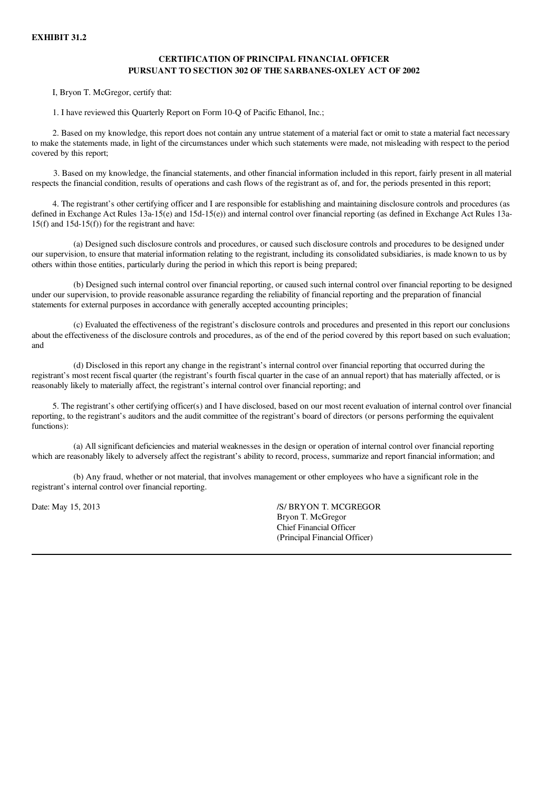# CERTIFICATION OF PRINCIPAL FINANCIAL OFFICER PURSUANT TO SECTION 302 OF THE SARBANES-OXLEY ACT OF 2002

I, Bryon T. McGregor, certify that:

1. I have reviewed this Quarterly Report on Form 10-Q of Pacific Ethanol, Inc.;

2. Based on my knowledge, this report does not contain any untrue statement of a material fact or omit to state a material fact necessary to make the statements made, in light of the circumstances under which such statements were made, not misleading with respect to the period covered by this report;

3. Based on my knowledge, the financial statements, and other financial information included in this report, fairly present in all material respects the financial condition, results of operations and cash flows of the registrant as of, and for, the periods presented in this report;

4. The registrant's other certifying officer and I are responsible for establishing and maintaining disclosure controls and procedures (as defined in Exchange Act Rules 13a-15(e) and 15d-15(e)) and internal control over financial reporting (as defined in Exchange Act Rules 13a-15(f) and 15d-15(f)) for the registrant and have:

(a) Designed such disclosure controls and procedures, or caused such disclosure controls and procedures to be designed under our supervision, to ensure that material information relating to the registrant, including its consolidated subsidiaries, is made known to us by others within those entities, particularly during the period in which this report is being prepared;

(b) Designed such internal control over financial reporting, or caused such internal control over financial reporting to be designed under our supervision, to provide reasonable assurance regarding the reliability of financial reporting and the preparation of financial statements for external purposes in accordance with generally accepted accounting principles;

(c) Evaluated the effectiveness of the registrant's disclosure controls and procedures and presented in this report our conclusions about the effectiveness of the disclosure controls and procedures, as of the end of the period covered by this report based on such evaluation; and

(d) Disclosed in this report any change in the registrant's internal control over financial reporting that occurred during the registrant's most recent fiscal quarter (the registrant's fourth fiscal quarter in the case of an annual report) that has materially affected, or is reasonably likely to materially affect, the registrant's internal control over financial reporting; and

5. The registrant's other certifying officer(s) and I have disclosed, based on our most recent evaluation of internal control over financial reporting, to the registrant's auditors and the audit committee of the registrant's board of directors (or persons performing the equivalent functions):

(a) All significant deficiencies and material weaknesses in the design or operation of internal control over financial reporting which are reasonably likely to adversely affect the registrant's ability to record, process, summarize and report financial information; and

(b) Any fraud, whether or not material, that involves management or other employees who have a significant role in the registrant's internal control over financial reporting.

Date: May 15, 2013 /S/ BRYON T. MCGREGOR Bryon T. McGregor Chief Financial Officer (Principal Financial Officer)